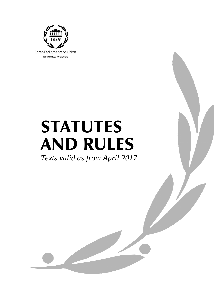

# STATUTES AND RULES

*Texts valid as from April 2017*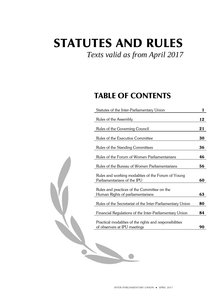## STATUTES AND RULES

### *Texts valid as from April 2017*

### TABLE OF CONTENTS

| Statutes of the Inter-Parliamentary Union                                               |    |  |  |  |  |
|-----------------------------------------------------------------------------------------|----|--|--|--|--|
| Rules of the Assembly                                                                   | 12 |  |  |  |  |
| Rules of the Governing Council                                                          | 21 |  |  |  |  |
| Rules of the Executive Committee                                                        | 30 |  |  |  |  |
| Rules of the Standing Committees                                                        | 36 |  |  |  |  |
| Rules of the Forum of Women Parliamentarians                                            | 46 |  |  |  |  |
| Rules of the Bureau of Women Parliamentarians                                           | 56 |  |  |  |  |
| Rules and working modalities of the Forum of Young<br>Parliamentarians of the IPU       | 60 |  |  |  |  |
| Rules and practices of the Committee on the<br>Human Rights of parliamentarians         | 63 |  |  |  |  |
| Rules of the Secretariat of the Inter-Parliamentary Union                               | 80 |  |  |  |  |
| Financial Regulations of the Inter-Parliamentary Union                                  | 84 |  |  |  |  |
| Practical modalities of the rights and responsibilities<br>of observers at IPU meetings | 90 |  |  |  |  |
|                                                                                         |    |  |  |  |  |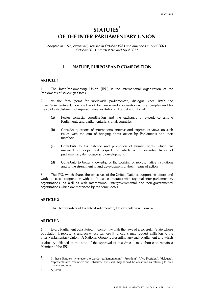### **STATUTES**<sup>1</sup> **OF THE INTER-PARLIAMENTARY UNION**

*Adopted in 1976, extensively revised in October 1983 and amended in April 2003, October 2013, March 2016 and April 2017*

### **I. NATURE, PURPOSE AND COMPOSITION**

### **ARTICLE 1**

1. The Inter-Parliamentary Union (IPU) is the international organization of the Parliaments of sovereign States.

2. As the focal point for worldwide parliamentary dialogue since 1889, the Inter-Parliamentary Union shall work for peace and cooperation among peoples and for the solid establishment of representative institutions. To that end, it shall:

- (a) Foster contacts, coordination and the exchange of experience among Parliaments and parliamentarians of all countries;
- (b) Consider questions of international interest and express its views on such issues with the aim of bringing about action by Parliaments and their members;
- (c) Contribute to the defence and promotion of human rights, which are universal in scope and respect for which is an essential factor of parliamentary democracy and development;
- (d) Contribute to better knowledge of the working of representative institutions and to the strengthening and development of their means of action.

3. The IPU, which shares the objectives of the United Nations, supports its efforts and works in close cooperation with it. It also cooperates with regional inter-parliamentary organizations, as well as with international, intergovernmental and non-governmental organizations which are motivated by the same ideals.

### **ARTICLE 2**

The Headquarters of the Inter-Parliamentary Union shall be at Geneva.

### **ARTICLE 3**

1. Every Parliament constituted in conformity with the laws of a sovereign State whose population it represents and on whose territory it functions may request affiliation to the Inter-Parliamentary Union. A National Group representing any such Parliament and which is already affiliated at the time of the approval of this Article $^{\overset{2}{}}$  may choose to remain a Member of the IPU.

<sup>1.</sup> In these Statutes, whenever the words "parliamentarian", "President", "Vice-President", "delegate", "representative", "member" and "observer" are used, they should be construed as referring to both women and men.

<sup>2</sup> April 2001.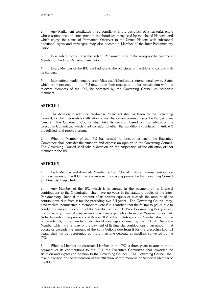2. Any Parliament constituted in conformity with the basic law of a territorial entity whose aspirations and entitlement to statehood are recognized by the United Nations, and which enjoys the status of Permanent Observer to the United Nations with substantial additional rights and privileges, may also become a Member of the Inter-Parliamentary Union.

3. In a federal State, only the federal Parliament may make a request to become a Member of the Inter-Parliamentary Union.

4. Every Member of the IPU shall adhere to the principles of the IPU and comply with its Statutes.

5. International parliamentary assemblies established under international law by States which are represented in the IPU may, upon their request and after consultation with the relevant Members of the IPU, be admitted by the Governing Council as Associate Members.

### **ARTICLE 4**

1. The decision to admit or readmit a Parliament shall be taken by the Governing Council, to which requests for affiliation or reaffiliation are communicated by the Secretary General. The Governing Council shall take its decision based on the advice of the Executive Committee, which shall consider whether the conditions stipulated in Article 3 are fulfilled, and report thereon.

2. When a Member of the IPU has ceased to function as such, the Executive Committee shall consider the situation and express an opinion to the Governing Council. The Governing Council shall take a decision on the suspension of the affiliation of that Member to the IPU.

### **ARTICLE 5**

1. Each Member and Associate Member of the IPU shall make an annual contribution to the expenses of the IPU in accordance with a scale approved by the Governing Council (cf. Financial Regs., Rule 5).

2. Any Member of the IPU which is in arrears in the payment of its financial contributions to the Organization shall have no votes in the statutory bodies of the Inter-Parliamentary Union if the amount of its arrears equals or exceeds the amount of the contributions due from it for the preceding two full years. The Governing Council may, nevertheless, permit such a Member to vote if it is satisfied that the failure to pay is due to conditions beyond the control of the Member of the IPU. Prior to examining this question, the Governing Council may receive a written explanation from the Member concerned. Notwithstanding the provisions of Article 10.2 of the Statutes, such a Member shall not be represented by more than two delegates at meetings convened by the IPU. An Associate Member which is in arrears of the payment of its financial contributions in an amount that equals or exceeds the amount of the contributions due from it for the preceding two full years, shall not be represented by more than one delegate at meetings convened by the IPU.

3. When a Member or Associate Member of the IPU is three years in arrears in the payment of its contributions to the IPU, the Executive Committee shall consider the situation and express an opinion to the Governing Council. The Governing Council shall take a decision on the suspension of the affiliation of that Member or Associate Member to the IPU.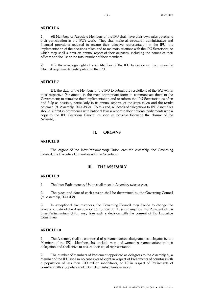### **ARTICLE 6**

1. All Members or Associate Members of the IPU shall have their own rules governing their participation in the IPU's work. They shall make all structural, administrative and financial provisions required to ensure their effective representation in the IPU, the implementation of the decisions taken and to maintain relations with the IPU Secretariat, to which they shall submit an annual report of their activities, including the names of their officers and the list or the total number of their members.

2. It is the sovereign right of each Member of the IPU to decide on the manner in which it organizes its participation in the IPU.

### **ARTICLE 7**

It is the duty of the Members of the IPU to submit the resolutions of the IPU within their respective Parliament, in the most appropriate form; to communicate them to the Government; to stimulate their implementation and to inform the IPU Secretariat, as often and fully as possible, particularly in its annual reports, of the steps taken and the results obtained (cf. Assembly, Rule 39.2). To this end, all heads of delegations to IPU Assemblies should submit in accordance with national laws a report to their national parliaments with a copy to the IPU Secretary General as soon as possible following the closure of the Assembly.

### **II. ORGANS**

### **ARTICLE 8**

The organs of the Inter-Parliamentary Union are: the Assembly, the Governing Council, the Executive Committee and the Secretariat.

### **III. THE ASSEMBLY**

### **ARTICLE 9**

1. The Inter-Parliamentary Union shall meet in Assembly twice a year.

2. The place and date of each session shall be determined by the Governing Council (cf. Assembly, Rule 4.2).

3. In exceptional circumstances, the Governing Council may decide to change the place and date of the Assembly or not to hold it. In an emergency, the President of the Inter-Parliamentary Union may take such a decision with the consent of the Executive Committee.

### **ARTICLE 10**

1. The Assembly shall be composed of parliamentarians designated as delegates by the Members of the IPU. Members shall include men and women parliamentarians in their delegation and shall strive to ensure their equal representation.

2. The number of members of Parliament appointed as delegates to the Assembly by a Member of the IPU shall in no case exceed eight in respect of Parliaments of countries with a population of less than 100 million inhabitants, or 10 in respect of Parliaments of countries with a population of 100 million inhabitants or more.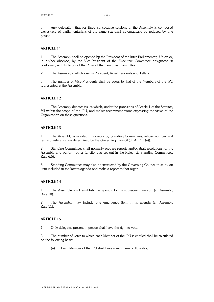3. Any delegation that for three consecutive sessions of the Assembly is composed exclusively of parliamentarians of the same sex shall automatically be reduced by one person.

### **ARTICLE 11**

1. The Assembly shall be opened by the President of the Inter-Parliamentary Union or, in his/her absence, by the Vice-President of the Executive Committee designated in conformity with Rule 5.2 of the Rules of the Executive Committee.

2. The Assembly shall choose its President, Vice-Presidents and Tellers.

3. The number of Vice-Presidents shall be equal to that of the Members of the IPU represented at the Assembly.

### **ARTICLE 12**

The Assembly debates issues which, under the provisions of Article 1 of the Statutes, fall within the scope of the IPU, and makes recommendations expressing the views of the Organization on these questions.

### **ARTICLE 13**

1. The Assembly is assisted in its work by Standing Committees, whose number and terms of reference are determined by the Governing Council (cf. Art. 21 (e)).

2. Standing Committees shall normally prepare reports and/or draft resolutions for the Assembly and perform other functions as set out in the Rules (cf. Standing Committees, Rule 6.5).

3. Standing Committees may also be instructed by the Governing Council to study an item included in the latter's agenda and make a report to that organ.

### **ARTICLE 14**

1. The Assembly shall establish the agenda for its subsequent session (cf. Assembly Rule 10).

2. The Assembly may include one emergency item in its agenda (cf. Assembly Rule 11).

### **ARTICLE 15**

1. Only delegates present in person shall have the right to vote.

2. The number of votes to which each Member of the IPU is entitled shall be calculated on the following basis:

(a) Each Member of the IPU shall have a minimum of 10 votes;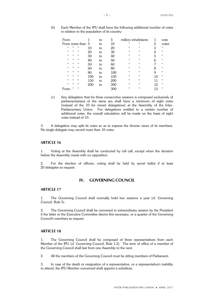(b) Each Member of the IPU shall have the following additional number of votes in relation to the population of its country:

| From             |                   |                   |     | to | 5   | million inhabitants: |                   |    | vote              |
|------------------|-------------------|-------------------|-----|----|-----|----------------------|-------------------|----|-------------------|
| From more than 5 |                   |                   |     | to | 10  | $^{\prime}$          | $^{\prime\prime}$ | 2  | votes             |
| п                | 11                | $^{\prime\prime}$ | 10  | to | 20  | $^{\prime\prime}$    | $^{\prime\prime}$ | 3  | $^{\prime\prime}$ |
| п                | $^{\prime\prime}$ | $^{\prime\prime}$ | 20  | to | 30  | $^{\prime}$          | 11                | 4  | 11                |
| п                | 11                | $^{\prime}$       | 30  | to | 40  | $^{\prime}$          | 11                | 5  | 11                |
| $^{\prime}$      | $\mathbf{H}$      | $^{\prime}$       | 40  | to | 50  | $^{\prime}$          | $^{\prime\prime}$ | 6  | $^{\prime\prime}$ |
| п                | 11                | $^{\prime\prime}$ | 50  | to | 60  | $^{\prime}$          | $^{\prime\prime}$ | 7  | 11                |
| п                | 11                | $^{\prime\prime}$ | 60  | to | 80  | $^{\prime\prime}$    | $^{\prime\prime}$ | 8  | $^{\prime\prime}$ |
| $^{\prime}$      | $\mathbf{H}$      | $^{\prime}$       | 80  | to | 100 | $^{\prime}$          | $^{\prime\prime}$ | 9  | $^{\prime\prime}$ |
| п                | 11                | $^{\prime}$       | 100 | to | 150 | $^{\prime}$          | 11                | 10 | 11                |
| $\blacksquare$   | 11                | $^{\prime\prime}$ | 150 | to | 200 | $^{\prime}$          | 11                | 11 | 11                |
| п                | 11                | $^{\prime}$       | 200 | to | 300 | $^{\prime}$          | 11                | 12 | 11                |
| om               | 11                | $^{\prime\prime}$ |     |    |     | $^{\prime}$          | 11                | 13 | $^{\prime\prime}$ |

(c) Any delegation that for three consecutive sessions is composed exclusively of parliamentarians of the same sex shall have a minimum of eight votes (instead of the 10 for mixed delegations) at the Assembly of the Inter-Parliamentary Union. For delegations entitled to a certain number of additional votes, the overall calculation will be made on the basis of eight votes instead of 10.

3. A delegation may split its votes so as to express the diverse views of its members. No single delegate may record more than 10 votes.

### **ARTICLE 16**

1. Voting at the Assembly shall be conducted by roll call, except when the decision before the Assembly meets with no opposition.

2. For the election of officers, voting shall be held by secret ballot if at least 20 delegates so request.

### **IV. GOVERNING COUNCIL**

### **ARTICLE 17**

1. The Governing Council shall normally hold two sessions a year (cf. Governing Council, Rule 5).

2. The Governing Council shall be convened in extraordinary session by the President if the latter or the Executive Committee deems this necessary, or a quarter of the Governing Council's members so request.

### **ARTICLE 18**

1. The Governing Council shall be composed of three representatives from each Member of the IPU (cf. Governing Council, Rule 1.2). The term of office of a member of the Governing Council shall last from one Assembly to the next.

2. All the members of the Governing Council must be sitting members of Parliament.

3. In case of the death or resignation of a representative, or a representative's inability to attend, the IPU Member concerned shall appoint a substitute.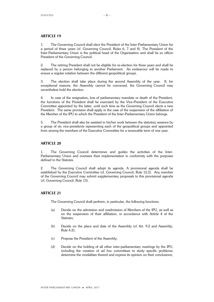### **ARTICLE 19**

1. The Governing Council shall elect the President of the Inter-Parliamentary Union for a period of three years (cf. Governing Council, Rules 6, 7 and 8). The President of the Inter-Parliamentary Union is the political head of the Organization and shall be ex officio President of the Governing Council.

2. The retiring President shall not be eligible for re-election for three years and shall be replaced by a person belonging to another Parliament. An endeavour will be made to ensure a regular rotation between the different geopolitical groups.

3. The election shall take place during the second Assembly of the year. If, for exceptional reasons, the Assembly cannot be convened, the Governing Council may nevertheless hold the election.

4. In case of the resignation, loss of parliamentary mandate or death of the President, the functions of the President shall be exercised by the Vice-President of the Executive Committee appointed by the latter, until such time as the Governing Council elects a new President. The same provision shall apply in the case of the suspension of the affiliation of the Member of the IPU to which the President of the Inter-Parliamentary Union belongs.

5. The President shall also be assisted in his/her work between the statutory sessions by a group of six vice-presidents representing each of the geopolitical groups and appointed from among the members of the Executive Committee for a renewable term of one year.

### **ARTICLE 20**

1. The Governing Council determines and guides the activities of the Inter-Parliamentary Union and oversees their implementation in conformity with the purposes defined in the Statutes.

2. The Governing Council shall adopt its agenda. A provisional agenda shall be established by the Executive Committee (cf. Governing Council, Rule 12.2). Any member of the Governing Council may submit supplementary proposals to this provisional agenda (cf. Governing Council, Rule 13).

### **ARTICLE 21**

The Governing Council shall perform, in particular, the following functions:

- (a) Decide on the admission and readmission of Members of the IPU, as well as on the suspension of their affiliation, in accordance with Article 4 of the Statutes;
- (b) Decide on the place and date of the Assembly (cf. Art. 9.2 and Assembly, Rule 4.2);
- (c) Propose the President of the Assembly;
- (d) Decide on the holding of all other inter-parliamentary meetings by the IPU, including the creation of ad hoc committees to study specific problems; determine the modalities thereof and express its opinion on their conclusions;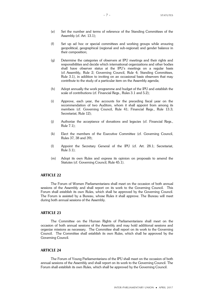- (e) Set the number and terms of reference of the Standing Committees of the Assembly (cf. Art. 13.1);
- (f) Set up ad hoc or special committees and working groups while ensuring geopolitical, geographical (regional and sub-regional) and gender balance in their composition;
- (g) Determine the categories of observers at IPU meetings and their rights and responsibilities and decide which international organizations and other bodies shall have observer status at the IPU's meetings on a regular basis (cf. Assembly, Rule 2; Governing Council, Rule 4; Standing Committees, Rule 3.1), in addition to inviting on an occasional basis observers that may contribute to the study of a particular item on the Assembly agenda;
- (h) Adopt annually the work programme and budget of the IPU and establish the scale of contributions (cf. Financial Regs., Rules 3.1 and 5.2);
- (i) Approve, each year, the accounts for the preceding fiscal year on the recommendation of two Auditors, whom it shall appoint from among its members (cf. Governing Council, Rule 41; Financial Regs., Rule 13.3; Secretariat, Rule 12);
- (j) Authorize the acceptance of donations and legacies (cf. Financial Regs., Rule 7.1);
- (k) Elect the members of the Executive Committee (cf. Governing Council, Rules 37, 38 and 39);
- (l) Appoint the Secretary General of the IPU (cf. Art. 28.1; Secretariat, Rule 3.1);
- (m) Adopt its own Rules and express its opinion on proposals to amend the Statutes (cf. Governing Council, Rule 45.1).

### **ARTICLE 22**

The Forum of Women Parliamentarians shall meet on the occasion of both annual sessions of the Assembly and shall report on its work to the Governing Council. This Forum shall establish its own Rules, which shall be approved by the Governing Council. The Forum is assisted by a Bureau, whose Rules it shall approve. The Bureau will meet during both annual sessions of the Assembly.

### **ARTICLE 23**

The Committee on the Human Rights of Parliamentarians shall meet on the occasion of both annual sessions of the Assembly and may hold additional sessions and organize missions as necessary. The Committee shall report on its work to the Governing Council. The Committee shall establish its own Rules, which shall be approved by the Governing Council.

### **ARTICLE 24**

The Forum of Young Parliamentarians of the IPU shall meet on the occasion of both annual sessions of the Assembly and shall report on its work to the Governing Council. The Forum shall establish its own Rules, which shall be approved by the Governing Council.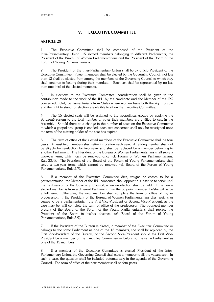### **V. EXECUTIVE COMMITTEE**

### **ARTICLE 25**

1. The Executive Committee shall be composed of the President of the Inter-Parliamentary Union, 15 elected members belonging to different Parliaments, the President of the Bureau of Women Parliamentarians and the President of the Board of the Forum of Young Parliamentarians.

2. The President of the Inter-Parliamentary Union shall be ex officio President of the Executive Committee. Fifteen members shall be elected by the Governing Council; not less than 12 shall be elected from among the members of the Governing Council to which they shall continue to belong during their mandate. Each sex shall be represented by no less than one third of the elected members.

3. In elections to the Executive Committee, consideration shall be given to the contribution made to the work of the IPU by the candidate and the Member of the IPU concerned**.** Only parliamentarians from States where women have both the right to vote and the right to stand for election are eligible to sit on the Executive Committee.

4. The 15 elected seats will be assigned to the geopolitical groups by applying the St. Laguë system to the total number of votes their members are entitled to cast in the Assembly. Should there be a change in the number of seats on the Executive Committee to which a geopolitical group is entitled, each seat concerned shall only be reassigned once the term of the existing holder of the seat has expired.

5. The term of office of the elected members of the Executive Committee shall be four years. At least two members shall retire in rotation each year. A retiring member shall not be eligible for re-election for two years and shall be replaced by a member belonging to another Parliament. The President of the Bureau of Women Parliamentarians shall serve a two-year term, which can be renewed once (cf. Forum of Women Parliamentarians, Rule 33.4). The President of the Board of the Forum of Young Parliamentarians shall serve a two-year term, which cannot be renewed (cf. Board of the Forum of Young Parliamentarians, Rule 5.7).

6. If a member of the Executive Committee dies, resigns or ceases to be a parliamentarian, the Member of the IPU concerned shall appoint a substitute to serve until the next session of the Governing Council, when an election shall be held. If the newly elected member is from a different Parliament than the outgoing member, he/she will serve a full term. Otherwise, the new member shall complete the term of office of his/her predecessor. If the President of the Bureau of Women Parliamentarians dies, resigns or ceases to be a parliamentarian, the First Vice-President or Second Vice-President, as the case may be, will complete the term of office of the predecessor. The youngest member present of the Board of the Forum of the Young Parliamentarians shall replace the President of the Board in his/her absence. (cf. Board of the Forum of Young Parliamentarians, Rule 5.9).

7. If the President of the Bureau is already a member of the Executive Committee or belongs to the same Parliament as one of the 15 members, she shall be replaced by the First Vice-President of the Bureau, or the Second Vice-President should the First Vice-President be a member of the Executive Committee or belong to the same Parliament as one of the 15 members.

8. If a member of the Executive Committee is elected President of the Inter-Parliamentary Union, the Governing Council shall elect a member to fill the vacant seat. In such a case, the question shall be included automatically in the agenda of the Governing Council. The term of office of the new member shall be four years.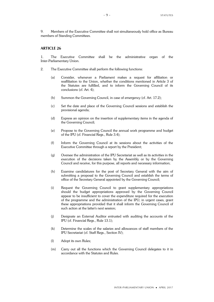9. Members of the Executive Committee shall not simultaneously hold office as Bureau members of Standing Committees.

### **ARTICLE 26**

1. The Executive Committee shall be the administrative organ of the Inter-Parliamentary Union.

- 2. The Executive Committee shall perform the following functions:
	- (a) Consider, whenever a Parliament makes a request for affiliation or reaffiliation to the Union, whether the conditions mentioned in Article 3 of the Statutes are fulfilled, and to inform the Governing Council of its conclusions (cf. Art. 4);
	- (b) Summon the Governing Council, in case of emergency (cf. Art. 17.2);
	- (c) Set the date and place of the Governing Council sessions and establish the provisional agenda;
	- (d) Express an opinion on the insertion of supplementary items in the agenda of the Governing Council;
	- (e) Propose to the Governing Council the annual work programme and budget of the IPU (cf. Financial Regs., Rule 3.4);
	- (f) Inform the Governing Council at its sessions about the activities of the Executive Committee through a report by the President;
	- (g) Oversee the administration of the IPU Secretariat as well as its activities in the execution of the decisions taken by the Assembly or by the Governing Council and receive, for this purpose, all reports and necessary information;
	- (h) Examine candidatures for the post of Secretary General with the aim of submitting a proposal to the Governing Council and establish the terms of office of the Secretary General appointed by the Governing Council;
	- (i) Request the Governing Council to grant supplementary appropriations should the budget appropriations approved by the Governing Council appear to be insufficient to cover the expenditure required for the execution of the programme and the administration of the IPU; in urgent cases, grant these appropriations provided that it shall inform the Governing Council of such action at the latter's next session;
	- (j) Designate an External Auditor entrusted with auditing the accounts of the IPU (cf. Financial Regs., Rule 13.1);
	- (k) Determine the scales of the salaries and allowances of staff members of the IPU Secretariat (cf. Staff Regs., Section IV);
	- (l) Adopt its own Rules;
	- (m) Carry out all the functions which the Governing Council delegates to it in accordance with the Statutes and Rules.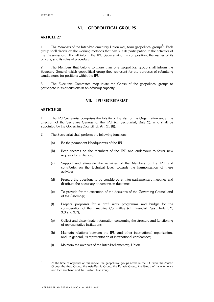### **VI. GEOPOLITICAL GROUPS**

### **ARTICLE 27**

1. The Members of the Inter-Parliamentary Union may form geopolitical groups<sup>3</sup> Each group shall decide on the working methods that best suit its participation in the activities of the Organization. It shall inform the IPU Secretariat of its composition, the names of its officers, and its rules of procedure.

2. The Members that belong to more than one geopolitical group shall inform the Secretary General which geopolitical group they represent for the purposes of submitting candidatures for positions within the IPU.

3. The Executive Committee may invite the Chairs of the geopolitical groups to participate in its discussions in an advisory capacity.

### **VII. IPU SECRETARIAT**

### **ARTICLE 28**

1. The IPU Secretariat comprises the totality of the staff of the Organization under the direction of the Secretary General of the IPU (cf. Secretariat, Rule 2), who shall be appointed by the Governing Council (cf. Art. 21 (l)).

- 2. The Secretariat shall perform the following functions:
	- (a) Be the permanent Headquarters of the IPU;
	- (b) Keep records on the Members of the IPU and endeavour to foster new requests for affiliation;
	- (c) Support and stimulate the activities of the Members of the IPU and contribute, on the technical level, towards the harmonization of these activities;
	- (d) Prepare the questions to be considered at inter-parliamentary meetings and distribute the necessary documents in due time;
	- (e) To provide for the execution of the decisions of the Governing Council and of the Assembly;
	- (f) Prepare proposals for a draft work programme and budget for the consideration of the Executive Committee (cf. Financial Regs., Rule 3.2, 3.3 and 3.7);
	- (g) Collect and disseminate information concerning the structure and functioning of representative institutions;
	- (h) Maintain relations between the IPU and other international organizations and, in general, its representation at international conferences;
	- (i) Maintain the archives of the Inter-Parliamentary Union.

<sup>3</sup> At the time of approval of this Article, the geopolitical groups active in the IPU were the African Group, the Arab Group, the Asia-Pacific Group, the Eurasia Group, the Group of Latin America and the Caribbean and the Twelve Plus Group.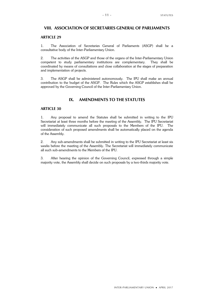### **VIII. ASSOCIATION OF SECRETARIES GENERAL OF PARLIAMENTS**

### **ARTICLE 29**

1. The Association of Secretaries General of Parliaments (ASGP) shall be a consultative body of the Inter-Parliamentary Union.

2. The activities of the ASGP and those of the organs of the Inter-Parliamentary Union competent to study parliamentary institutions are complementary. They shall be coordinated by means of consultations and close collaboration at the stages of preparation and implementation of projects.

3. The ASGP shall be administered autonomously. The IPU shall make an annual contribution to the budget of the ASGP. The Rules which the ASGP establishes shall be approved by the Governing Council of the Inter-Parliamentary Union.

### **IX. AMENDMENTS TO THE STATUTES**

### **ARTICLE 30**

1. Any proposal to amend the Statutes shall be submitted in writing to the IPU Secretariat at least three months before the meeting of the Assembly. The IPU Secretariat will immediately communicate all such proposals to the Members of the IPU. The consideration of such proposed amendments shall be automatically placed on the agenda of the Assembly.

2. Any sub-amendments shall be submitted in writing to the IPU Secretariat at least six weeks before the meeting of the Assembly. The Secretariat will immediately communicate all such sub-amendments to the Members of the IPU.

3. After hearing the opinion of the Governing Council, expressed through a simple majority vote, the Assembly shall decide on such proposals by a two-thirds majority vote.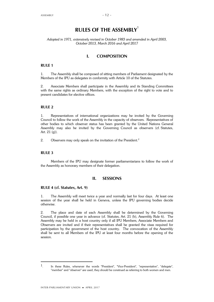### **RULES OF THE ASSEMBLY**<sup>1</sup>

### *Adopted in 1971, extensively revised in October 1983 and amended in April 2003, October 2013, March 2016 and April 2017*

### **I. COMPOSITION**

### **RULE 1**

1. The Assembly shall be composed of sitting members of Parliament designated by the Members of the IPU as delegates in conformity with Article 10 of the Statutes.

2. Associate Members shall participate in the Assembly and its Standing Committees with the same rights as ordinary Members, with the exception of the right to vote and to present candidates for elective offices.

### **RULE 2**

1. Representatives of international organizations may be invited by the Governing Council to follow the work of the Assembly in the capacity of observers. Representatives of other bodies to which observer status has been granted by the United Nations General Assembly may also be invited by the Governing Council as observers (cf. Statutes, Art.  $21 (g)$ ).

2. Observers may only speak on the invitation of the President.<sup>2</sup>

### **RULE 3**

Members of the IPU may designate former parliamentarians to follow the work of the Assembly as honorary members of their delegation.

### **II. SESSIONS**

### **RULE 4 (cf. Statutes, Art. 9)**

1. The Assembly will meet twice a year and normally last for four days. At least one session of the year shall be held in Geneva, unless the IPU governing bodies decide otherwise.

2. The place and date of each Assembly shall be determined by the Governing Council, if possible one year in advance (cf. Statutes, Art. 21 (b), Assembly Rule 6). The Assembly may be held in a host country only if all IPU Members, Associate Members and Observers are invited and if their representatives shall be granted the visas required for participation by the government of the host country. The convocation of the Assembly shall be sent to all Members of the IPU at least four months before the opening of the session.

<sup>1.</sup> In these Rules, whenever the words "President", "Vice-President", "representative", "delegate", "member" and "observer" are used, they should be construed as referring to both women and men.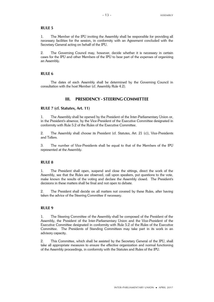1. The Member of the IPU inviting the Assembly shall be responsible for providing all necessary facilities for the session, in conformity with an Agreement concluded with the Secretary General acting on behalf of the IPU.

2. The Governing Council may, however, decide whether it is necessary in certain cases for the IPU and other Members of the IPU to bear part of the expenses of organizing an Assembly.

### **RULE 6**

The dates of each Assembly shall be determined by the Governing Council in consultation with the host Member (cf. Assembly Rule 4.2).

### **III. PRESIDENCY - STEERING COMMITTEE**

### **RULE 7 (cf. Statutes, Art. 11)**

1. The Assembly shall be opened by the President of the Inter-Parliamentary Union or, in the President's absence, by the Vice-President of the Executive Committee designated in conformity with Rule 5.2 of the Rules of the Executive Committee.

2. The Assembly shall choose its President (cf. Statutes, Art. 21 (c)), Vice-Presidents and Tellers.

3. The number of Vice-Presidents shall be equal to that of the Members of the IPU represented at the Assembly.

### **RULE 8**

1. The President shall open, suspend and close the sittings, direct the work of the Assembly, see that the Rules are observed, call upon speakers, put questions to the vote, make known the results of the voting and declare the Assembly closed. The President's decisions in these matters shall be final and not open to debate.

2. The President shall decide on all matters not covered by these Rules, after having taken the advice of the Steering Committee if necessary.

### **RULE 9**

1. The Steering Committee of the Assembly shall be composed of the President of the Assembly, the President of the Inter-Parliamentary Union and the Vice-President of the Executive Committee designated in conformity with Rule 5.2 of the Rules of the Executive Committee. The Presidents of Standing Committees may take part in its work in an advisory capacity.

2. This Committee, which shall be assisted by the Secretary General of the IPU, shall take all appropriate measures to ensure the effective organization and normal functioning of the Assembly proceedings, in conformity with the Statutes and Rules of the IPU.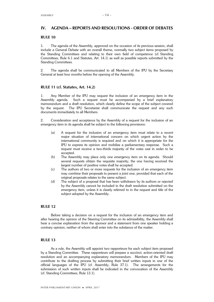### **IV. AGENDA – REPORTS AND RESOLUTIONS - ORDER OF DEBATES**

### **RULE 10**

1. The agenda of the Assembly, approved on the occasion of its previous session, shall include a General Debate with an overall theme, normally two subject items proposed by the Standing Committees and relating to their own field of competence (cf. Standing Committees, Rule 6.1 and Statutes, Art. 14.1) as well as possible reports submitted by the Standing Committees.

2. The agenda shall be communicated to all Members of the IPU by the Secretary General at least four months before the opening of the Assembly.

### **RULE 11 (cf. Statutes, Art. 14.2)**

1. Any Member of the IPU may request the inclusion of an emergency item in the Assembly agenda. Such a request must be accompanied by a brief explanatory memorandum and a draft resolution, which clearly define the scope of the subject covered by the request. The IPU Secretariat shall communicate the request and any such documents immediately to all Members.

2. Consideration and acceptance by the Assembly of a request for the inclusion of an emergency item in its agenda shall be subject to the following provisions:

- (a) A request for the inclusion of an emergency item must relate to a recent major situation of international concern on which urgent action by the international community is required and on which it is appropriate for the IPU to express its opinion and mobilize a parliamentary response. Such a request must receive a two-thirds majority of the votes cast in order to be accepted.
- (b) The Assembly may place only one emergency item on its agenda. Should several requests obtain the requisite majority, the one having received the largest number of positive votes shall be accepted.
- (c) The authors of two or more requests for the inclusion of an emergency item may combine their proposals to present a joint one, provided that each of the original proposals relates to the same subject.
- (d) The subject of a proposal that has been withdrawn by its authors or rejected by the Assembly cannot be included in the draft resolution submitted on the emergency item, unless it is clearly referred to in the request and title of the subject adopted by the Assembly.

### **RULE 12**

Before taking a decision on a request for the inclusion of an emergency item and after hearing the opinion of the Steering Committee on its admissibility, the Assembly shall hear a concise explanation from the sponsor and a statement from one speaker holding a contrary opinion, neither of whom shall enter into the substance of the matter.

### **RULE 13**

As a rule, the Assembly will appoint two rapporteurs for each subject item proposed by a Standing Committee. These rapporteurs will prepare a succinct, action-oriented draft resolution and an accompanying explanatory memorandum. Members of the IPU may contribute to the drafting process by submitting their brief written inputs in one of the official languages of the IPU (cf. Assembly, Rule 37.1). The arrangements for the submission of such written inputs shall be indicated in the convocation of the Assembly (cf. Standing Committees, Rule 13.1).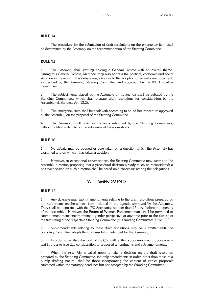The procedure for the submission of draft resolutions on the emergency item shall be determined by the Assembly on the recommendation of the Steering Committee.

### **RULE 15**

1. The Assembly shall start by holding a General Debate with an overall theme. During this General Debate, Members may also address the political, economic and social situation in the world. This debate may give rise to the adoption of an outcome document, as decided by the Assembly Steering Committee and approved by the IPU Executive Committee.

2. The subject items placed by the Assembly on its agenda shall be debated by the Standing Committees, which shall prepare draft resolutions for consideration by the Assembly (cf. Statutes, Art. 13.2).

3. The emergency item shall be dealt with according to an ad hoc procedure approved by the Assembly, on the proposal of the Steering Committee.

4. The Assembly shall vote on the texts submitted by the Standing Committees, without holding a debate on the substance of these questions.

### **RULE 16**

1. No debate may be opened or vote taken on a question which the Assembly has examined and on which it has taken a decision.

2. However, in exceptional circumstances, the Steering Committee may submit to the Assembly a motion proposing that a procedural decision already taken be reconsidered; a positive decision on such a motion shall be based on a consensus among the delegations.

### **V. AMENDMENTS**

### **RULE 17**

1. Any delegate may submit amendments relating to the draft resolutions prepared by the rapporteurs on the subject item included in the agenda approved by the Assembly. They shall be deposited with the IPU Secretariat no later than 15 days before the opening of the Assembly. However, the Forum of Women Parliamentarians shall be permitted to submit amendments incorporating a gender perspective at any time prior to the closure of the first sitting of the respective Standing Committee (cf. Standing Committees, Rule 13.2).

2. Sub-amendments relating to these draft resolutions may be submitted until the Standing Committee adopts the draft resolution intended for the Assembly.

3. In order to facilitate the work of the Committee, the rapporteurs may propose a new text in order to give due consideration to proposed amendments and sub-amendments.

4. When the Assembly is called upon to take a decision on the draft resolution prepared by the Standing Committee, the only amendments in order, other than those of a purely drafting nature, shall be those incorporating the content of earlier proposals submitted within the statutory deadlines but not accepted by the Standing Committee.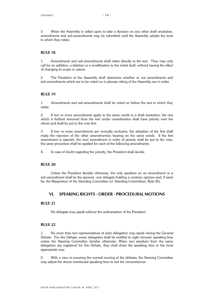5. When the Assembly is called upon to take a decision on any other draft resolution, amendments and sub-amendments may be submitted until the Assembly adopts the texts to which they relate.

### **RULE 18**

1. Amendments and sub-amendments shall relate directly to the text. They may only call for an addition, a deletion or a modification to the initial draft, without having the effect of changing its scope or nature.

2. The President of the Assembly shall determine whether or not amendments and sub-amendments which are to be voted on in plenary sitting of the Assembly are in order.

### **RULE 19**

1. Amendments and sub-amendments shall be voted on before the text to which they relate.

2. If two or more amendments apply to the same words in a draft resolution, the one which is furthest removed from the text under consideration shall have priority over the others and shall be put to the vote first.

3. If two or more amendments are mutually exclusive, the adoption of the first shall imply the rejection of the other amendment(s) bearing on the same words. If the first amendment is rejected, the next amendment in order of priority shall be put to the vote; the same procedure shall be applied for each of the following amendments.

4. In case of doubt regarding the priority, the President shall decide.

### **RULE 20**

Unless the President decides otherwise, the only speakers on an amendment or a sub-amendment shall be the sponsor, one delegate holding a contrary opinion and, if need be, the Rapporteur of the Standing Committee (cf. Standing Committees, Rule 26).

### **VI. SPEAKING RIGHTS - ORDER - PROCEDURAL MOTIONS**

### **RULE 21**

No delegate may speak without the authorization of the President.

#### **RULE 22**

1. No more than two representatives of each delegation may speak during the General Debate. For this Debate, every delegation shall be entitled to eight minutes' speaking time unless the Steering Committee decides otherwise. When two speakers from the same delegation are registered for this Debate, they shall share the speaking time in the most appropriate way.

2. With a view to ensuring the normal running of the debates, the Steering Committee may adjust the above-mentioned speaking time to suit the circumstances.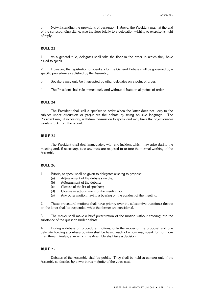3. Notwithstanding the provisions of paragraph 1 above, the President may, at the end of the corresponding sitting, give the floor briefly to a delegation wishing to exercise its right of reply.

### **RULE 23**

1. As a general rule, delegates shall take the floor in the order in which they have asked to speak.

2. However, the registration of speakers for the General Debate shall be governed by a specific procedure established by the Assembly.

- 3. Speakers may only be interrupted by other delegates on a point of order.
- 4. The President shall rule immediately and without debate on all points of order.

### **RULE 24**

The President shall call a speaker to order when the latter does not keep to the subject under discussion or prejudices the debate by using abusive language. The President may, if necessary, withdraw permission to speak and may have the objectionable words struck from the record.

### **RULE 25**

The President shall deal immediately with any incident which may arise during the meeting and, if necessary, take any measure required to restore the normal working of the Assembly.

### **RULE 26**

1. Priority to speak shall be given to delegates wishing to propose:

- (a) Adjournment of the debate sine die;
- (b) Adjournment of the debate;
- (c) Closure of the list of speakers;
- (d) Closure or adjournment of the meeting; or
- (e) Any other motion having a bearing on the conduct of the meeting.

2. These procedural motions shall have priority over the substantive questions; debate on the latter shall be suspended while the former are considered.

3. The mover shall make a brief presentation of the motion without entering into the substance of the question under debate.

4. During a debate on procedural motions, only the mover of the proposal and one delegate holding a contrary opinion shall be heard, each of whom may speak for not more than three minutes, after which the Assembly shall take a decision.

### **RULE 27**

Debates of the Assembly shall be public. They shall be held *in camera* only if the Assembly so decides by a two-thirds majority of the votes cast.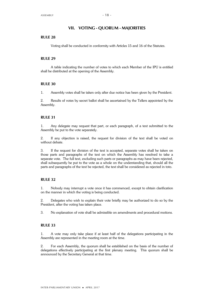### **VII. VOTING - QUORUM - MAJORITIES**

### **RULE 28**

Voting shall be conducted in conformity with Articles 15 and 16 of the Statutes.

### **RULE 29**

A table indicating the number of votes to which each Member of the IPU is entitled shall be distributed at the opening of the Assembly.

### **RULE 30**

1. Assembly votes shall be taken only after due notice has been given by the President.

2. Results of votes by secret ballot shall be ascertained by the Tellers appointed by the Assembly.

### **RULE 31**

1. Any delegate may request that part, or each paragraph, of a text submitted to the Assembly be put to the vote separately.

2. If any objection is raised, the request for division of the text shall be voted on without debate.

3. If the request for division of the text is accepted, separate votes shall be taken on those parts and paragraphs of the text on which the Assembly has resolved to take a separate vote. The full text, excluding such parts or paragraphs as may have been rejected, shall subsequently be put to the vote as a whole on the understanding that, should all the parts and paragraphs of the text be rejected, the text shall be considered as rejected in toto.

### **RULE 32**

1. Nobody may interrupt a vote once it has commenced, except to obtain clarification on the manner in which the voting is being conducted.

2. Delegates who wish to explain their vote briefly may be authorized to do so by the President, after the voting has taken place.

3. No explanation of vote shall be admissible on amendments and procedural motions.

### **RULE 33**

1. A vote may only take place if at least half of the delegations participating in the Assembly are represented in the meeting room at the time.

2. For each Assembly, the quorum shall be established on the basis of the number of delegations effectively participating at the first plenary meeting. This quorum shall be announced by the Secretary General at that time.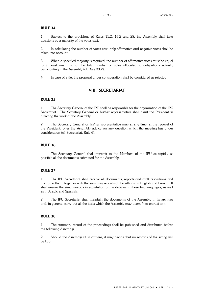1. Subject to the provisions of Rules 11.2, 16.2 and 28, the Assembly shall take decisions by a majority of the votes cast.

2. In calculating the number of votes cast, only affirmative and negative votes shall be taken into account.

3. When a specified majority is required, the number of affirmative votes must be equal to at least one third of the total number of votes allocated to delegations actually participating in the Assembly (cf. Rule 33.2).

4. In case of a tie, the proposal under consideration shall be considered as rejected.

### **VIII. SECRETARIAT**

### **RULE 35**

1. The Secretary General of the IPU shall be responsible for the organization of the IPU Secretariat. The Secretary General or his/her representative shall assist the President in directing the work of the Assembly.

2. The Secretary General or his/her representative may at any time, at the request of the President, offer the Assembly advice on any question which the meeting has under consideration (cf. Secretariat, Rule 6).

### **RULE 36**

The Secretary General shall transmit to the Members of the IPU as rapidly as possible all the documents submitted for the Assembly.

### **RULE 37**

1. The IPU Secretariat shall receive all documents, reports and draft resolutions and distribute them, together with the summary records of the sittings, in English and French. It shall ensure the simultaneous interpretation of the debates in these two languages, as well as in Arabic and Spanish.

2. The IPU Secretariat shall maintain the documents of the Assembly in its archives and, in general, carry out all the tasks which the Assembly may deem fit to entrust to it.

### **RULE 38**

1**.** The summary record of the proceedings shall be published and distributed before the following Assembly.

2. Should the Assembly sit *in camera*, it may decide that no records of the sitting will be kept.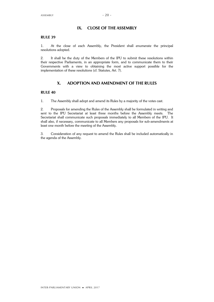### **IX. CLOSE OF THE ASSEMBLY**

### **RULE 39**

1. At the close of each Assembly, the President shall enumerate the principal resolutions adopted.

2. It shall be the duty of the Members of the IPU to submit these resolutions within their respective Parliaments, in an appropriate form, and to communicate them to their Governments with a view to obtaining the most active support possible for the implementation of these resolutions (cf. Statutes, Art. 7).

### **X. ADOPTION AND AMENDMENT OF THE RULES**

### **RULE 40**

1. The Assembly shall adopt and amend its Rules by a majority of the votes cast.

2. Proposals for amending the Rules of the Assembly shall be formulated in writing and sent to the IPU Secretariat at least three months before the Assembly meets. The Secretariat shall communicate such proposals immediately to all Members of the IPU. It shall also, if necessary, communicate to all Members any proposals for sub-amendments at least one month before the meeting of the Assembly.

3. Consideration of any request to amend the Rules shall be included automatically in the agenda of the Assembly.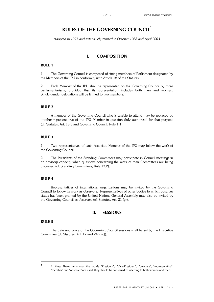### **RULES OF THE GOVERNING COUNCIL**<sup>1</sup>

*Adopted in 1971 and extensively revised in October 1983 and April 2003*

### **I. COMPOSITION**

### **RULE 1**

1. The Governing Council is composed of sitting members of Parliament designated by the Members of the IPU in conformity with Article 18 of the Statutes.

2. Each Member of the IPU shall be represented on the Governing Council by three parliamentarians, provided that its representation includes both men and women. Single-gender delegations will be limited to two members.

### **RULE 2**

A member of the Governing Council who is unable to attend may be replaced by another representative of the IPU Member in question duly authorized for that purpose (cf. Statutes, Art. 18.3 and Governing Council, Rule 1.1).

### **RULE 3**

1. Two representatives of each Associate Member of the IPU may follow the work of the Governing Council.

2. The Presidents of the Standing Committees may participate in Council meetings in an advisory capacity when questions concerning the work of their Committees are being discussed (cf. Standing Committees, Rule 17.2).

### **RULE 4**

Representatives of international organizations may be invited by the Governing Council to follow its work as observers. Representatives of other bodies to which observer status has been granted by the United Nations General Assembly may also be invited by the Governing Council as observers (cf. Statutes, Art. 21 (g)).

### **II. SESSIONS**

### **RULE 5**

The date and place of the Governing Council sessions shall be set by the Executive Committee (cf. Statutes, Art. 17 and 24.2 (c)).

<sup>1.</sup> In these Rules, whenever the words "President", "Vice-President", "delegate", "representative", "member" and "observer" are used, they should be construed as referring to both women and men.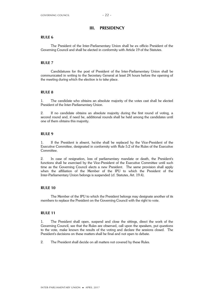### **III. PRESIDENCY**

### **RULE 6**

The President of the Inter-Parliamentary Union shall be ex officio President of the Governing Council and shall be elected in conformity with Article 19 of the Statutes.

### **RULE 7**

Candidatures for the post of President of the Inter-Parliamentary Union shall be communicated in writing to the Secretary General at least 24 hours before the opening of the meeting during which the election is to take place.

### **RULE 8**

1. The candidate who obtains an absolute majority of the votes cast shall be elected President of the Inter-Parliamentary Union.

2. If no candidate obtains an absolute majority during the first round of voting, a second round and, if need be, additional rounds shall be held among the candidates until one of them obtains this majority.

### **RULE 9**

1. If the President is absent, he/she shall be replaced by the Vice-President of the Executive Committee, designated in conformity with Rule 5.2 of the Rules of the Executive Committee.

2. In case of resignation, loss of parliamentary mandate or death, the President's functions shall be exercised by the Vice-President of the Executive Committee until such time as the Governing Council elects a new President. The same provision shall apply when the affiliation of the Member of the IPU to which the President of the Inter-Parliamentary Union belongs is suspended (cf. Statutes, Art. 19.4).

### **RULE 10**

The Member of the IPU to which the President belongs may designate another of its members to replace the President on the Governing Council with the right to vote.

### **RULE 11**

1. The President shall open, suspend and close the sittings, direct the work of the Governing Council, see that the Rules are observed, call upon the speakers, put questions to the vote, make known the results of the voting and declare the sessions closed. The President's decisions on these matters shall be final and not open to debate.

2. The President shall decide on all matters not covered by these Rules.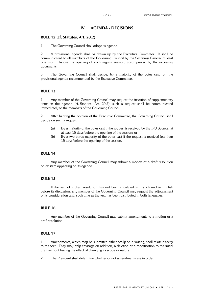### **IV. AGENDA - DECISIONS**

### **RULE 12 (cf. Statutes, Art. 20.2)**

1. The Governing Council shall adopt its agenda.

2. A provisional agenda shall be drawn up by the Executive Committee. It shall be communicated to all members of the Governing Council by the Secretary General at least one month before the opening of each regular session, accompanied by the necessary documents.

3. The Governing Council shall decide, by a majority of the votes cast, on the provisional agenda recommended by the Executive Committee.

### **RULE 13**

1. Any member of the Governing Council may request the insertion of supplementary items in the agenda (cf. Statutes, Art. 20.2); such a request shall be communicated immediately to the members of the Governing Council.

2. After hearing the opinion of the Executive Committee, the Governing Council shall decide on such a request:

- (a) By a majority of the votes cast if the request is received by the IPU Secretariat at least 15 days before the opening of the session; or
- (b) By a two-thirds majority of the votes cast if the request is received less than 15 days before the opening of the session.

### **RULE 14**

Any member of the Governing Council may submit a motion or a draft resolution on an item appearing on its agenda.

### **RULE 15**

If the text of a draft resolution has not been circulated in French and in English before its discussion, any member of the Governing Council may request the adjournment of its consideration until such time as the text has been distributed in both languages.

### **RULE 16**

Any member of the Governing Council may submit amendments to a motion or a draft resolution.

### **RULE 17**

1. Amendments, which may be submitted either orally or in writing, shall relate directly to the text. They may only envisage an addition, a deletion or a modification to the initial draft without having the effect of changing its scope or nature.

2. The President shall determine whether or not amendments are in order.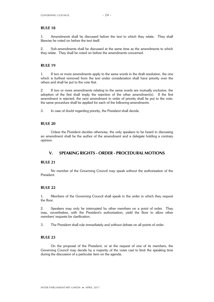1. Amendments shall be discussed before the text to which they relate. They shall likewise be voted on before the text itself.

2. Sub-amendments shall be discussed at the same time as the amendments to which they relate. They shall be voted on before the amendments concerned.

### **RULE 19**

1. If two or more amendments apply to the same words in the draft resolution, the one which is furthest removed from the text under consideration shall have priority over the others and shall be put to the vote first.

2. If two or more amendments relating to the same words are mutually exclusive, the adoption of the first shall imply the rejection of the other amendment(s). If the first amendment is rejected, the next amendment in order of priority shall be put to the vote; the same procedure shall be applied for each of the following amendments.

3. In case of doubt regarding priority, the President shall decide.

### **RULE 20**

Unless the President decides otherwise, the only speakers to be heard in discussing an amendment shall be the author of the amendment and a delegate holding a contrary opinion.

### **V. SPEAKING RIGHTS - ORDER - PROCEDURAL MOTIONS**

### **RULE 21**

No member of the Governing Council may speak without the authorization of the President.

### **RULE 22**

1. Members of the Governing Council shall speak in the order in which they request the floor.

2. Speakers may only be interrupted by other members on a point of order. They may, nevertheless, with the President's authorization, yield the floor to allow other members' requests for clarification.

3. The President shall rule immediately and without debate on all points of order.

### **RULE 23**

On the proposal of the President, or at the request of one of its members, the Governing Council may decide by a majority of the votes cast to limit the speaking time during the discussion of a particular item on the agenda.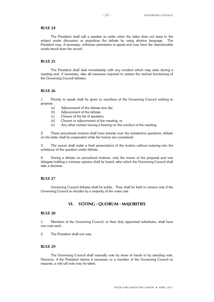The President shall call a speaker to order when the latter does not keep to the subject under discussion or prejudices the debate by using abusive language. The President may, if necessary, withdraw permission to speak and may have the objectionable words struck from the record.

### **RULE 25**

The President shall deal immediately with any incident which may arise during a meeting and, if necessary, take all measures required to restore the normal functioning of the Governing Council debates.

### **RULE 26**

1. Priority to speak shall be given to members of the Governing Council wishing to propose:

- (a) Adjournment of the debate sine die;
- (b) Adjournment of the debate;
- (c) Closure of the list of speakers;
- (d) Closure or adjournment of the meeting; or
- (e) Any other motion having a bearing on the conduct of the meeting.

2. These procedural motions shall have priority over the substantive questions; debate on the latter shall be suspended while the former are considered.

3. The mover shall make a brief presentation of the motion without entering into the substance of the question under debate.

4. During a debate on procedural motions, only the mover of the proposal and one delegate holding a contrary opinion shall be heard, after which the Governing Council shall take a decision.

### **RULE 27**

Governing Council debates shall be public. They shall be held *in camera* only if the Governing Council so decides by a majority of the votes cast.

### **VI. VOTING - QUORUM - MAJORITIES**

### **RULE 28**

1. Members of the Governing Council, or their duly appointed substitutes, shall have one vote each.

2. The President shall not vote.

### **RULE 29**

The Governing Council shall normally vote by show of hands or by standing vote. However, if the President deems it necessary or a member of the Governing Council so requests, a roll-call vote may be taken.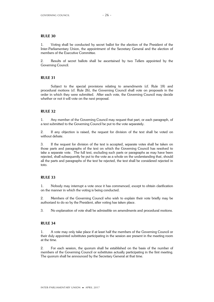1. Voting shall be conducted by secret ballot for the election of the President of the Inter-Parliamentary Union, the appointment of the Secretary General and the election of members of the Executive Committee.

2. Results of secret ballots shall be ascertained by two Tellers appointed by the Governing Council.

### **RULE 31**

Subject to the special provisions relating to amendments (cf. Rule 18) and procedural motions (cf. Rule 26), the Governing Council shall vote on proposals in the order in which they were submitted. After each vote, the Governing Council may decide whether or not it will vote on the next proposal.

### **RULE 32**

1. Any member of the Governing Council may request that part, or each paragraph, of a text submitted to the Governing Council be put to the vote separately.

2. If any objection is raised, the request for division of the text shall be voted on without debate.

3. If the request for division of the text is accepted, separate votes shall be taken on those parts and paragraphs of the text on which the Governing Council has resolved to take a separate vote. The full text, excluding such parts or paragraphs as may have been rejected, shall subsequently be put to the vote as a whole on the understanding that, should all the parts and paragraphs of the text be rejected, the text shall be considered rejected in toto.

### **RULE 33**

1. Nobody may interrupt a vote once it has commenced, except to obtain clarification on the manner in which the voting is being conducted.

2. Members of the Governing Council who wish to explain their vote briefly may be authorized to do so by the President, after voting has taken place.

3. No explanation of vote shall be admissible on amendments and procedural motions.

### **RULE 34**

1. A vote may only take place if at least half the members of the Governing Council or their duly appointed substitutes participating in the session are present in the meeting room at the time.

2. For each session, the quorum shall be established on the basis of the number of members of the Governing Council or substitutes actually participating in the first meeting. The quorum shall be announced by the Secretary General at that time.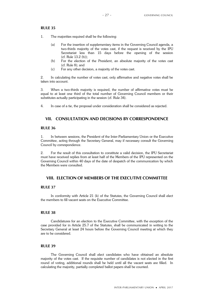- 1. The majorities required shall be the following:
	- (a) For the insertion of supplementary items in the Governing Council agenda, a two-thirds majority of the votes cast, if the request is received by the IPU Secretariat less than 15 days before the opening of the session (cf. Rule 13.2 (b));
	- (b) For the election of the President, an absolute majority of the votes cast (cf. Rule 8); and
	- (c) For any other decision, a majority of the votes cast.

2. In calculating the number of votes cast, only affirmative and negative votes shall be taken into account.

3. When a two-thirds majority is required, the number of affirmative votes must be equal to at least one third of the total number of Governing Council members or their substitutes actually participating in the session (cf. Rule 34).

4. In case of a tie, the proposal under consideration shall be considered as rejected.

### **VII. CONSULTATION AND DECISIONS BY CORRESPONDENCE**

### **RULE 36**

1. In between sessions, the President of the Inter-Parliamentary Union or the Executive Committee, acting through the Secretary General, may if necessary consult the Governing Council by correspondence.

2. For the result of this consultation to constitute a valid decision, the IPU Secretariat must have received replies from at least half of the Members of the IPU represented on the Governing Council within 40 days of the date of despatch of the communication by which the Members were consulted.

### **VIII. ELECTION OF MEMBERS OF THE EXECUTIVE COMMITTEE**

### **RULE 37**

In conformity with Article 21 (k) of the Statutes, the Governing Council shall elect the members to fill vacant seats on the Executive Committee.

### **RULE 38**

Candidatures for an election to the Executive Committee, with the exception of the case provided for in Article 25.7 of the Statutes, shall be communicated in writing to the Secretary General at least 24 hours before the Governing Council meeting at which they are to be considered.

### **RULE 39**

The Governing Council shall elect candidates who have obtained an absolute majority of the votes cast. If the requisite number of candidates is not elected in the first round of voting, additional rounds shall be held until all the vacant seats are filled. In calculating the majority, partially completed ballot papers shall be counted.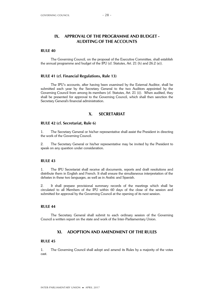### **IX. APPROVAL OF THE PROGRAMME AND BUDGET - AUDITING OF THE ACCOUNTS**

### **RULE 40**

The Governing Council, on the proposal of the Executive Committee, shall establish the annual programme and budget of the IPU (cf. Statutes, Art. 21 (h) and 26.2 (e)).

### **RULE 41 (cf. Financial Regulations, Rule 13)**

The IPU's accounts, after having been examined by the External Auditor, shall be submitted each year by the Secretary General to the two Auditors appointed by the Governing Council from among its members (cf. Statutes, Art. 21 (i)). When audited, they shall be presented for approval to the Governing Council, which shall then sanction the Secretary General's financial administration.

### **X. SECRETARIAT**

### **RULE 42 (cf. Secretariat, Rule 6)**

1. The Secretary General or his/her representative shall assist the President in directing the work of the Governing Council.

2. The Secretary General or his/her representative may be invited by the President to speak on any question under consideration.

### **RULE 43**

1. The IPU Secretariat shall receive all documents, reports and draft resolutions and distribute them in English and French. It shall ensure the simultaneous interpretation of the debates in these two languages, as well as in Arabic and Spanish.

2. It shall prepare provisional summary records of the meetings which shall be circulated to all Members of the IPU within 60 days of the close of the session and submitted for approval by the Governing Council at the opening of its next session.

### **RULE 44**

The Secretary General shall submit to each ordinary session of the Governing Council a written report on the state and work of the Inter-Parliamentary Union.

### **XI. ADOPTION AND AMENDMENT OF THE RULES**

### **RULE 45**

1. The Governing Council shall adopt and amend its Rules by a majority of the votes cast.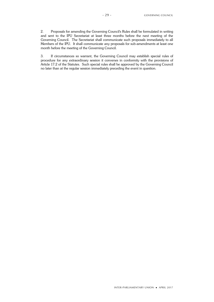2. Proposals for amending the Governing Council's Rules shall be formulated in writing and sent to the IPU Secretariat at least three months before the next meeting of the Governing Council. The Secretariat shall communicate such proposals immediately to all Members of the IPU. It shall communicate any proposals for sub-amendments at least one month before the meeting of the Governing Council.

3. If circumstances so warrant, the Governing Council may establish special rules of procedure for any extraordinary session it convenes in conformity with the provisions of Article 17.2 of the Statutes. Such special rules shall be approved by the Governing Council no later than at the regular session immediately preceding the event in question.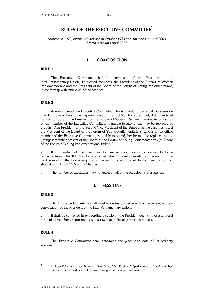### **RULES OF THE EXECUTIVE COMMITTEE**<sup>1</sup>

### *Adopted in 1972, extensively revised in October 1983 and amended in April 2003, March 2016 and April 2017*

### **I. COMPOSITION**

### **RULE 1**

The Executive Committee shall be composed of the President of the Inter-Parliamentary Union, 15 elected members, the President of the Bureau of Women Parliamentarians and the President of the Board of the Forum of Young Parliamentarians, in conformity with Article 25 of the Statutes.

### **RULE 2**

1. Any member of the Executive Committee who is unable to participate in a session may be replaced by another representative of the IPU Member concerned, duly mandated for that purpose. If the President of the Bureau of Women Parliamentarians, who is an ex officio member of the Executive Committee, is unable to attend, she may be replaced by the First Vice-President or the Second Vice-President of the Bureau, as the case may be. If the President of the Board of the Forum of Young Parliamentarians, who is an ex officio member of the Executive Committee, is unable to attend, he/she may be replaced by the youngest member present of the Board of the Forum of Young Parliamentarians (cf. Board of the Forum of Young Parliamentarians, Rule 5.9).

2. If a member of the Executive Committee dies, resigns or ceases to be a parliamentarian, the IPU Member concerned shall appoint a substitute to serve until the next session of the Governing Council, when an election shall be held in the manner stipulated in Article 25.6 of the Statutes.

3. The number of substitutes may not exceed half of the participants at a session.

### **II. SESSIONS**

### **RULE 3**

1. The Executive Committee shall meet in ordinary session at least twice a year upon convocation by the President of the Inter-Parliamentary Union.

2. It shall be convened in extraordinary session if the President deems it necessary or if three of its members**,** representing at least two geopolitical groups**,** so request.

### **RULE 4**

1. The Executive Committee shall determine the place and date of its ordinary sessions.

<sup>1</sup> In these Rules, whenever the words "President", "Vice-President", "parliamentarian" and "member" are used, they should be construed as referring to both women and men.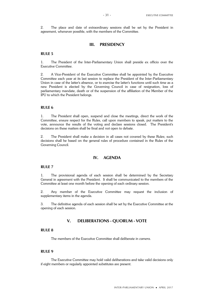2. The place and date of extraordinary sessions shall be set by the President in agreement, whenever possible, with the members of the Committee.

### **III. PRESIDENCY**

### **RULE 5**

1. The President of the Inter-Parliamentary Union shall preside ex officio over the Executive Committee.

2. A Vice-President of the Executive Committee shall be appointed by the Executive Committee each year at its last session to replace the President of the Inter-Parliamentary Union in case of the latter's absence, or to exercise the latter's functions until such time as a new President is elected by the Governing Council in case of resignation, loss of parliamentary mandate, death or of the suspension of the affiliation of the Member of the IPU to which the President belongs.

### **RULE 6**

1. The President shall open, suspend and close the meetings, direct the work of the Committee, ensure respect for the Rules, call upon members to speak, put matters to the vote, announce the results of the voting and declare sessions closed. The President's decisions on these matters shall be final and not open to debate.

2. The President shall make a decision in all cases not covered by these Rules; such decisions shall be based on the general rules of procedure contained in the Rules of the Governing Council.

### **IV. AGENDA**

### **RULE 7**

1. The provisional agenda of each session shall be determined by the Secretary General in agreement with the President. It shall be communicated to the members of the Committee at least one month before the opening of each ordinary session.

2. Any member of the Executive Committee may request the inclusion of supplementary items in the agenda.

3. The definitive agenda of each session shall be set by the Executive Committee at the opening of each session.

### **V. DELIBERATIONS - QUORUM - VOTE**

### **RULE 8**

The members of the Executive Committee shall deliberate *in camera*.

### **RULE 9**

The Executive Committee may hold valid deliberations and take valid decisions only if eight members or regularly appointed substitutes are present.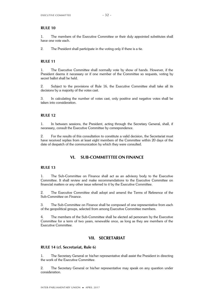1. The members of the Executive Committee or their duly appointed substitutes shall have one vote each.

2. The President shall participate in the voting only if there is a tie.

### **RULE 11**

1. The Executive Committee shall normally vote by show of hands. However, if the President deems it necessary or if one member of the Committee so requests, voting by secret ballot shall be held.

2. Subject to the provisions of Rule 16, the Executive Committee shall take all its decisions by a majority of the votes cast.

3. In calculating the number of votes cast, only positive and negative votes shall be taken into consideration.

### **RULE 12**

1. In between sessions, the President, acting through the Secretary General, shall, if necessary, consult the Executive Committee by correspondence.

2. For the results of this consultation to constitute a valid decision, the Secretariat must have received replies from at least eight members of the Committee within 20 days of the date of despatch of the communication by which they were consulted.

### **VI. SUB-COMMITTTEE ON FINANCE**

### **RULE 13**

1. The Sub-Committee on Finance shall act as an advisory body to the Executive Committee. It shall review and make recommendations to the Executive Committee on financial matters or any other issue referred to it by the Executive Committee.

2. The Executive Committee shall adopt and amend the Terms of Reference of the Sub-Committee on Finance.

3. The Sub-Committee on Finance shall be composed of one representative from each of the geopolitical groups, selected from among Executive Committee members.

4. The members of the Sub-Committee shall be elected ad personam by the Executive Committee for a term of two years, renewable once, as long as they are members of the Executive Committee.

### **VII. SECRETARIAT**

### **RULE 14 (cf. Secretariat, Rule 6)**

1. The Secretary General or his/her representative shall assist the President in directing the work of the Executive Committee.

2. The Secretary General or his/her representative may speak on any question under consideration.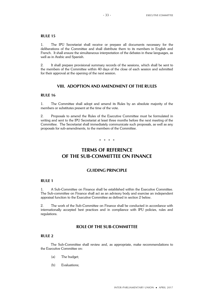1. The IPU Secretariat shall receive or prepare all documents necessary for the deliberations of the Committee and shall distribute them to its members in English and French. It shall ensure the simultaneous interpretation of the debates in these languages, as well as in Arabic and Spanish.

2. It shall prepare provisional summary records of the sessions, which shall be sent to the members of the Committee within 40 days of the close of each session and submitted for their approval at the opening of the next session.

## **VIII. ADOPTION AND AMENDMENT OF THE RULES**

## **RULE 16**

1. The Committee shall adopt and amend its Rules by an absolute majority of the members or substitutes present at the time of the vote.

2. Proposals to amend the Rules of the Executive Committee must be formulated in writing and sent to the IPU Secretariat at least three months before the next meeting of the Committee. The Secretariat shall immediately communicate such proposals, as well as any proposals for sub-amendments, to the members of the Committee.

\* \* \* \*

# **TERMS OF REFERENCE OF THE SUB-COMMITTEE ON FINANCE**

## **GUIDING PRINCIPLE**

### **RULE 1**

1. A Sub-Committee on Finance shall be established within the Executive Committee. The Sub-committee on Finance shall act as an advisory body and exercise an independent appraisal function to the Executive Committee as defined in section 2 below.

2. The work of the Sub-Committee on Finance shall be conducted in accordance with internationally accepted best practices and in compliance with IPU policies, rules and regulations.

## **ROLE OF THE SUB-COMMITTEE**

### **RULE 2**

The Sub-Committee shall review and, as appropriate, make recommendations to the Executive Committee on:

- (a) The budget;
- (b) Evaluations;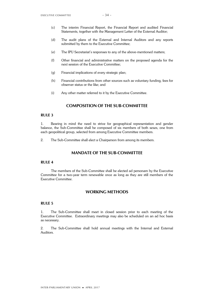- (c) The interim Financial Report, the Financial Report and audited Financial Statements, together with the Management Letter of the External Auditor;
- (d) The audit plans of the External and Internal Auditors and any reports submitted by them to the Executive Committee;
- (e) The IPU Secretariat's responses to any of the above-mentioned matters;
- (f) Other financial and administrative matters on the proposed agenda for the next session of the Executive Committee;
- (g) Financial implications of every strategic plan;
- (h) Financial contributions from other sources such as voluntary funding, fees for observer status or the like; and
- (i) Any other matter referred to it by the Executive Committee.

## **COMPOSITION OF THE SUB-COMMITTEE**

### **RULE 3**

1. Bearing in mind the need to strive for geographical representation and gender balance, the Sub-Committee shall be composed of six members of both sexes, one from each geopolitical group, selected from among Executive Committee members.

2. The Sub-Committee shall elect a Chairperson from among its members.

## **MANDATE OF THE SUB-COMMITTEE**

#### **RULE 4**

The members of the Sub-Committee shall be elected ad personam by the Executive Committee for a two-year term renewable once as long as they are still members of the Executive Committee.

## **WORKING METHODS**

## **RULE 5**

1. The Sub-Committee shall meet in closed session prior to each meeting of the Executive Committee. Extraordinary meetings may also be scheduled on an ad hoc basis as necessary.

2. The Sub-Committee shall hold annual meetings with the Internal and External Auditors.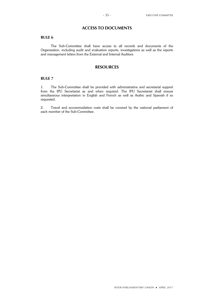## **ACCESS TO DOCUMENTS**

## **RULE 6**

The Sub-Committee shall have access to all records and documents of the Organization, including audit and evaluation reports, investigations as well as the reports and management letters from the External and Internal Auditors.

## **RESOURCES**

### **RULE 7**

1. The Sub-Committee shall be provided with administrative and secretarial support from the IPU Secretariat as and when required. The IPU Secretariat shall ensure simultaneous interpretation in English and French as well as Arabic and Spanish if so requested.

2. Travel and accommodation costs shall be covered by the national parliament of each member of the Sub-Committee.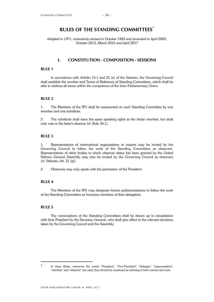# **RULES OF THE STANDING COMMITTEES**<sup>1</sup>

*Adopted in 1971, extensively revised in October 1983 and amended in April 2003, October 2013, March 2016 and April 2017*

## **I. CONSTITUTION - COMPOSITION - SESSIONS**

#### **RULE 1**

In accordance with Articles 13.1 and 21 (e) of the Statutes, the Governing Council shall establish the number and Terms of Reference of Standing Committees, which shall be able to address all issues within the competence of the Inter-Parliamentary Union.

## **RULE 2**

1. The Members of the IPU shall be represented on each Standing Committee by one member and one substitute.

2. The substitute shall have the same speaking rights as the titular member, but shall only vote in the latter's absence (cf. Rule 34.1).

## **RULE 3**

1. Representatives of international organizations or experts may be invited by the Governing Council to follow the work of the Standing Committees as observers. Representatives of other bodies to which observer status has been granted by the United Nations General Assembly may also be invited by the Governing Council as observers  $(cf. Status, Art. 21 (q)).$ 

2. Observers may only speak with the permission of the President.

#### **RULE 4**

The Members of the IPU may designate former parliamentarians to follow the work of the Standing Committees as honorary members of their delegation.

### **RULE 5**

The convocations of the Standing Committees shall be drawn up in consultation with their President by the Secretary General, who shall give effect to the relevant decisions taken by the Governing Council and the Assembly.

<sup>1</sup> In these Rules, whenever the words "President", "Vice-President", "delegate", "representative", "member" and "observer" are used, they should be construed as referring to both women and men.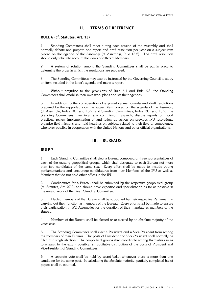## **II. TERMS OF REFERENCE**

#### **RULE 6 (cf. Statutes, Art. 13)**

1. Standing Committees shall meet during each session of the Assembly and shall normally debate and prepare one report and draft resolution per year on a subject item placed on the agenda of the Assembly (cf. Assembly, Rule 15.2). The draft resolution should duly take into account the views of different Members.

2. A system of rotation among the Standing Committees shall be put in place to determine the order in which the resolutions are prepared.

3. The Standing Committees may also be instructed by the Governing Council to study an item included in the latter's agenda and make a report.

4. Without prejudice to the provisions of Rule 6.1 and Rule 6.3, the Standing Committees shall establish their own work plans and set their agendas.

5. In addition to the consideration of explanatory memoranda and draft resolutions prepared by the rapporteurs on the subject item placed on the agenda of the Assembly (cf. Assembly, Rules 10.1 and 15.2, and Standing Committees, Rules 13.1 and 13.2), the Standing Committees may inter alia commission research, discuss reports on good practices, review implementation of and follow-up action on previous IPU resolutions, organize field missions and hold hearings on subjects related to their field of competence, whenever possible in cooperation with the United Nations and other official organizations.

## **III. BUREAUX**

#### **RULE 7**

1. Each Standing Committee shall elect a Bureau composed of three representatives of each of the existing geopolitical groups, which shall designate to each Bureau not more than two candidates of the same sex. Every effort shall be made to include young parliamentarians and encourage candidatures from new Members of the IPU as well as Members that do not hold other offices in the IPU.

2. Candidatures for a Bureau shall be submitted by the respective geopolitical group (cf. Statutes, Art. 27.2) and should have expertise and specialization as far as possible in the area of work of the given Standing Committee.

3. Elected members of the Bureau shall be supported by their respective Parliament in carrying out their function as members of the Bureau. Every effort shall be made to ensure their participation in IPU Assemblies for the duration of their mandate as members of the Bureau.

4. Members of the Bureau shall be elected or re-elected by an absolute majority of the votes cast.

5. The Standing Committees shall elect a President and a Vice-President from among the members of their Bureau. The posts of President and Vice-President shall normally be filled at a single election. The geopolitical groups shall coordinate among themselves so as to ensure, to the extent possible, an equitable distribution of the posts of President and Vice-President of Standing Committees.

6. A separate vote shall be held by secret ballot whenever there is more than one candidate for the same post. In calculating the absolute majority, partially completed ballot papers shall be counted.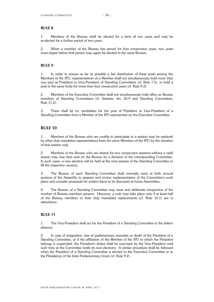1. Members of the Bureau shall be elected for a term of two years and may be re-elected for a further period of two years.

2. When a member of the Bureau has served for four consecutive years, two years must elapse before that person may again be elected to the same Bureau.

## **RULE 9**

1. In order to ensure as far as possible a fair distribution of these posts among the Members of the IPU, representatives of a Member shall not simultaneously hold more than one post as President or Vice-President of Standing Committees (cf. Rule 7.5), or hold a post in the same body for more than four consecutive years (cf. Rule 8.2).

2. Members of the Executive Committee shall not simultaneously hold office as Bureau members of Standing Committees (cf. Statutes, Art. 25.9 and Standing Committees, Rule 11.2).

3. There shall be no candidates for the post of President or Vice-President of a Standing Committee from a Member of the IPU represented on the Executive Committee.

## **RULE 10**

1. Members of the Bureau who are unable to participate in a session may be replaced by other duly mandated representatives from the same Members of the IPU for the duration of that session only.

2. Members of the Bureau who are absent for two consecutive sessions without a valid reason may lose their seat on the Bureau by a decision of the corresponding Committee. In such cases, a new election will be held at the next session of the Standing Committee to fill the respective vacancy.

3. The Bureau of each Standing Committee shall normally meet at both annual sessions of the Assembly to prepare and review implementation of the Committee's work plans and consider proposals for subject items to be discussed at future Assemblies.

4. The Bureau of a Standing Committee may meet and deliberate irrespective of the number of Bureau members present. However, a vote may take place only if at least half of the Bureau members or their duly mandated replacements (cf. Rule 10.1) are in attendance.

### **RULE 11**

1. The Vice-President shall act for the President of a Standing Committee in the latter's absence.

2. In case of resignation, loss of parliamentary mandate or death of the President of a Standing Committee, or if the affiliation of the Member of the IPU to which the President belongs is suspended, the President's duties shall be exercised by the Vice-President until such time as the Committee holds its next elections. A similar procedure shall be followed when the President of a Standing Committee is elected to the Executive Committee or to the Presidency of the Inter-Parliamentary Union (cf. Rule 9.2).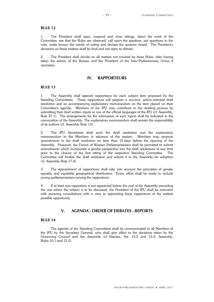1. The President shall open, suspend and close sittings, direct the work of the Committee, see that the Rules are observed, call upon the speakers, put questions to the vote, make known the results of voting and declare the sessions closed. The President's decisions on these matters shall be final and not open to debate.

2. The President shall decide on all matters not covered by these Rules, after having taken the advice of the Bureau and the President of the Inter-Parliamentary Union if necessary.

### **IV. RAPPORTEURS**

### **RULE 13**

1. The Assembly shall appoint rapporteurs for each subject item proposed by the Standing Committees. These rapporteurs will prepare a succinct, action-oriented draft resolution and an accompanying explanatory memorandum on the item placed on their Committee's agenda. Members of the IPU may contribute to the drafting process by submitting their brief written inputs in one of the official languages of the IPU (cf. Assembly, Rule 37.1). The arrangements for the submission of such inputs shall be indicated in the convocation of the Assembly. The explanatory memorandum shall remain the responsibility of its authors (cf. Assembly Rule 13).

2. The IPU Secretariat shall send the draft resolution and the explanatory memorandum to the Members in advance of the session. Members may propose amendments to the draft resolution no later than 15 days before the opening of the Assembly. However, the Forum of Women Parliamentarians shall be permitted to submit amendments which incorporate a gender perspective into the draft resolutions at any time prior to the closure of the first sitting of the respective Standing Committee. The Committee will finalize the draft resolution and submit it to the Assembly for adoption (cf. Assembly Rule 17.4).

3. The appointment of rapporteurs shall take into account the principles of gender equality and equitable geographical distribution. Every effort shall be made to include young parliamentarians among the rapporteurs.

4. If at least one rapporteur is not appointed before the end of the Assembly preceding the one where the subject is to be discussed, the President of the IPU shall be entrusted with pursuing consultations with a view to appointing these rapporteurs at the earliest possible opportunity.

## **V. AGENDA - ORDER OF DEBATES - REPORTS**

## **RULE 14**

The agenda of the Standing Committees shall be communicated to all Members of the IPU by the Secretary General, who shall give effect to the decisions taken by the Governing Council and the Assembly (cf. Statutes, Art. 13.2 and 13.3; Assembly, Rules 10.1 and 15.2).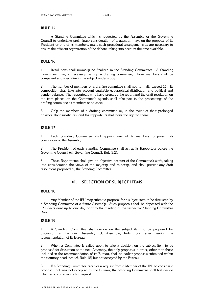A Standing Committee which is requested by the Assembly or the Governing Council to undertake preliminary consideration of a question may, on the proposal of its President or one of its members, make such procedural arrangements as are necessary to ensure the efficient organization of the debate, taking into account the time available.

### **RULE 16**

1. Resolutions shall normally be finalized in the Standing Committees. A Standing Committee may**,** if necessary, set up a drafting committee, whose members shall be competent and specialize in the subject under study.

2. The number of members of a drafting committee shall not normally exceed 11. Its composition shall take into account equitable geographical distribution and political and gender balance. The rapporteurs who have prepared the report and the draft resolution on the item placed on the Committee's agenda shall take part in the proceedings of the drafting committee as members or advisers.

3. Only the members of a drafting committee or, in the event of their prolonged absence, their substitutes, and the rapporteurs shall have the right to speak.

### **RULE 17**

1. Each Standing Committee shall appoint one of its members to present its conclusions to the Assembly.

2. The President of each Standing Committee shall act as its Rapporteur before the Governing Council (cf. Governing Council, Rule 3.2).

3. These Rapporteurs shall give an objective account of the Committee's work, taking into consideration the views of the majority and minority, and shall present any draft resolutions proposed by the Standing Committee.

## **VI. SELECTION OF SUBJECT ITEMS**

### **RULE 18**

Any Member of the IPU may submit a proposal for a subject item to be discussed by a Standing Committee at a future Assembly. Such proposals shall be deposited with the IPU Secretariat up to one day prior to the meeting of the respective Standing Committee Bureau.

#### **RULE 19**

1. A Standing Committee shall decide on the subject item to be proposed for discussion at the next Assembly (cf. Assembly, Rule 15.2) after hearing the recommendation of its Bureau.

2. When a Committee is called upon to take a decision on the subject item to be proposed for discussion at the next Assembly, the only proposals in order, other than those included in the recommendation of its Bureau, shall be earlier proposals submitted within the statutory deadlines (cf. Rule 18) but not accepted by the Bureau.

3. If a Standing Committee receives a request from a Member of the IPU to consider a proposal that was not accepted by the Bureau, the Standing Committee shall first decide whether to consider such a request.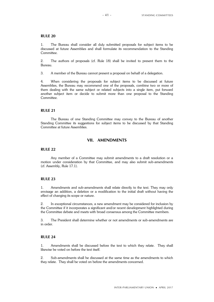1. The Bureau shall consider all duly submitted proposals for subject items to be discussed at future Assemblies and shall formulate its recommendation to the Standing Committee.

2. The authors of proposals (cf. Rule 18) shall be invited to present them to the Bureau.

3. A member of the Bureau cannot present a proposal on behalf of a delegation.

4. When considering the proposals for subject items to be discussed at future Assemblies, the Bureau may recommend one of the proposals, combine two or more of them dealing with the same subject or related subjects into a single item, put forward another subject item or decide to submit more than one proposal to the Standing Committee.

#### **RULE 21**

The Bureau of one Standing Committee may convey to the Bureau of another Standing Committee its suggestions for subject items to be discussed by that Standing Committee at future Assemblies.

## **VII. AMENDMENTS**

#### **RULE 22**

Any member of a Committee may submit amendments to a draft resolution or a motion under consideration by that Committee, and may also submit sub-amendments (cf. Assembly, Rule 17.1).

## **RULE 23**

1. Amendments and sub-amendments shall relate directly to the text. They may only envisage an addition, a deletion or a modification to the initial draft without having the effect of changing its scope or nature.

2. In exceptional circumstances, a new amendment may be considered for inclusion by the Committee if it incorporates a significant and/or recent development highlighted during the Committee debate and meets with broad consensus among the Committee members.

3. The President shall determine whether or not amendments or sub-amendments are in order.

### **RULE 24**

1. Amendments shall be discussed before the text to which they relate. They shall likewise be voted on before the text itself.

2. Sub-amendments shall be discussed at the same time as the amendments to which they relate. They shall be voted on before the amendments concerned.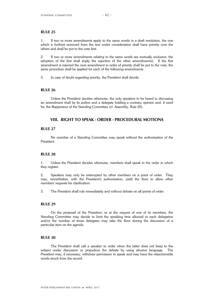1. If two or more amendments apply to the same words in a draft resolution, the one which is furthest removed from the text under consideration shall have priority over the others and shall be put to the vote first.

2. If two or more amendments relating to the same words are mutually exclusive, the adoption of the first shall imply the rejection of the other amendment(s). If the first amendment is rejected the next amendment in order of priority shall be put to the vote; the same procedure shall be applied for each of the following amendments.

3. In case of doubt regarding priority, the President shall decide.

## **RULE 26**

Unless the President decides otherwise, the only speakers to be heard in discussing an amendment shall be its author and a delegate holding a contrary opinion and, if need be, the Rapporteur of the Standing Committee (cf. Assembly, Rule 20).

## **VIII. RIGHT TO SPEAK - ORDER - PROCEDURAL MOTIONS**

## **RULE 27**

No member of a Standing Committee may speak without the authorization of the President.

#### **RULE 28**

1. Unless the President decides otherwise, members shall speak in the order in which they register.

2. Speakers may only be interrupted by other members on a point of order. They may, nevertheless, with the President's authorization, yield the floor to allow other members' requests for clarification.

3. The President shall rule immediately and without debate on all points of order.

## **RULE 29**

On the proposal of the President, or at the request of one of its members, the Standing Committee may decide to limit the speaking time allowed to each delegation and/or the number of times delegates may take the floor during the discussion of a particular item on the agenda.

#### **RULE 30**

The President shall call a speaker to order when the latter does not keep to the subject under discussion or prejudices the debate by using abusive language. The President may, if necessary, withdraw permission to speak and may have the objectionable words struck from the record.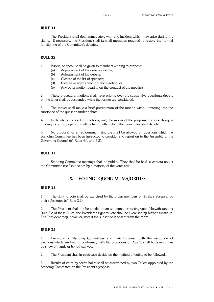The President shall deal immediately with any incident which may arise during the sitting. If necessary, the President shall take all measures required to restore the normal functioning of the Committee's debates.

#### **RULE 32**

1. Priority to speak shall be given to members wishing to propose:

- (a) Adjournment of the debate sine die;
- (b) Adjournment of the debate;
- (c) Closure of the list of speakers;
- (d) Closure or adjournment of the meeting; or
- (e) Any other motion bearing on the conduct of the meeting.

2. These procedural motions shall have priority over the substantive questions; debate on the latter shall be suspended while the former are considered.

3. The mover shall make a brief presentation of the motion without entering into the substance of the question under debate.

4. In debate on procedural motions, only the mover of the proposal and one delegate holding a contrary opinion shall be heard, after which the Committee shall decide.

5. No proposal for an adjournment sine die shall be allowed on questions which the Standing Committee has been instructed to consider and report on to the Assembly or the Governing Council (cf. Rules 6.1 and 6.3).

### **RULE 33**

Standing Committee meetings shall be public. They shall be held *in camera* only if the Committee itself so decides by a majority of the votes cast.

## **IX. VOTING - QUORUM - MAJORITIES**

## **RULE 34**

1. The right to vote shall be exercised by the titular members or, in their absence, by their substitutes (cf. Rule 2.2).

2. The President shall not be entitled to an additional or casting vote. Notwithstanding Rule 2.2 of these Rules, the President's right to vote shall be exercised by his/her substitute. The President may, however, vote if the substitute is absent from the room.

## **RULE 35**

1. Decisions of Standing Committees and their Bureaux, with the exception of elections which are held in conformity with the provisions of Rule 7, shall be taken either by show of hands or by roll-call vote.

2. The President shall in each case decide on the method of voting to be followed.

3. Results of votes by secret ballot shall be ascertained by two Tellers appointed by the Standing Committee on the President's proposal.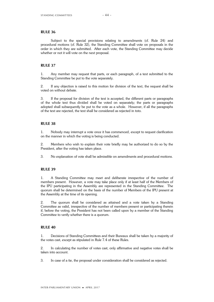Subject to the special provisions relating to amendments (cf. Rule 24) and procedural motions (cf. Rule 32), the Standing Committee shall vote on proposals in the order in which they are submitted. After each vote, the Standing Committee may decide whether or not it will vote on the next proposal.

### **RULE 37**

1. Any member may request that parts, or each paragraph, of a text submitted to the Standing Committee be put to the vote separately.

2. If any objection is raised to this motion for division of the text, the request shall be voted on without debate.

3. If the proposal for division of the text is accepted, the different parts or paragraphs of the whole text thus divided shall be voted on separately; the parts or paragraphs adopted shall subsequently be put to the vote as a whole. However, if all the paragraphs of the text are rejected, the text shall be considered as rejected in toto.

## **RULE 38**

1. Nobody may interrupt a vote once it has commenced, except to request clarification on the manner in which the voting is being conducted.

2. Members who wish to explain their vote briefly may be authorized to do so by the President, after the voting has taken place.

3. No explanation of vote shall be admissible on amendments and procedural motions.

#### **RULE 39**

1. A Standing Committee may meet and deliberate irrespective of the number of members present. However, a vote may take place only if at least half of the Members of the IPU participating in the Assembly are represented in the Standing Committee. The quorum shall be determined on the basis of the number of Members of the IPU present at the Assembly at the time of its opening.

2. The quorum shall be considered as attained and a vote taken by a Standing Committee as valid, irrespective of the number of members present or participating therein if, before the voting, the President has not been called upon by a member of the Standing Committee to verify whether there is a quorum.

## **RULE 40**

1. Decisions of Standing Committees and their Bureaux shall be taken by a majority of the votes cast, except as stipulated in Rule 7.4 of these Rules.

2. In calculating the number of votes cast, only affirmative and negative votes shall be taken into account.

3. In case of a tie, the proposal under consideration shall be considered as rejected.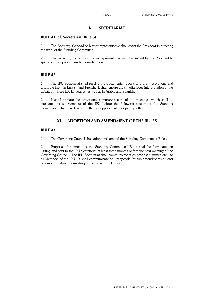# **X. SECRETARIAT**

## **RULE 41 (cf. Secretariat, Rule 6)**

1. The Secretary General or his/her representative shall assist the President in directing the work of the Standing Committee.

2. The Secretary General or his/her representative may be invited by the President to speak on any question under consideration.

### **RULE 42**

1. The IPU Secretariat shall receive the documents, reports and draft resolutions and distribute them in English and French. It shall ensure the simultaneous interpretation of the debates in these two languages, as well as in Arabic and Spanish.

2. It shall prepare the provisional summary record of the meetings, which shall be circulated to all Members of the IPU before the following session of the Standing Committee, when it will be submitted for approval at the opening sitting.

## **XI. ADOPTION AND AMENDMENT OF THE RULES**

### **RULE 43**

1. The Governing Council shall adopt and amend the Standing Committees' Rules.

2. Proposals for amending the Standing Committees' Rules shall be formulated in writing and sent to the IPU Secretariat at least three months before the next meeting of the Governing Council. The IPU Secretariat shall communicate such proposals immediately to all Members of the IPU. It shall communicate any proposals for sub-amendments at least one month before the meeting of the Governing Council.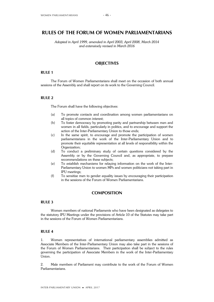## **RULES OF THE FORUM OF WOMEN PARLIAMENTARIANS**

*Adopted in April 1999, amended in April 2003, April 2008, March 2014 and extensively revised in March 2016*

## **OBJECTIVES**

### **RULE 1**

The Forum of Women Parliamentarians shall meet on the occasion of both annual sessions of the Assembly and shall report on its work to the Governing Council.

### **RULE 2**

The Forum shall have the following objectives:

- (a) To promote contacts and coordination among women parliamentarians on all topics of common interest;
- (b) To foster democracy by promoting parity and partnership between men and women in all fields, particularly in politics, and to encourage and support the action of the Inter-Parliamentary Union to those ends;
- (c) In the same spirit, to encourage and promote the participation of women parliamentarians in the work of the Inter-Parliamentary Union and to promote their equitable representation at all levels of responsibility within the Organization;
- (d) To conduct a preliminary study of certain questions considered by the Assembly or by the Governing Council and, as appropriate, to prepare recommendations on these subjects;
- (e) To establish mechanisms for relaying information on the work of the Inter-Parliamentary Union to women MPs and women politicians not taking part in IPU meetings;
- (f) To sensitize men to gender equality issues by encouraging their participation in the sessions of the Forum of Women Parliamentarians.

## **COMPOSITION**

### **RULE 3**

Women members of national Parliaments who have been designated as delegates to the statutory IPU Meetings under the provisions of Article 10 of the Statutes may take part in the sessions of the Forum of Women Parliamentarians.

### **RULE 4**

1. Women representatives of international parliamentary assemblies admitted as Associate Members of the Inter-Parliamentary Union may also take part in the sessions of the Forum of Women Parliamentarians. Their participation shall be subject to the rules governing the participation of Associate Members in the work of the Inter-Parliamentary Union.

2. Male members of Parliament may contribute to the work of the Forum of Women Parliamentarians.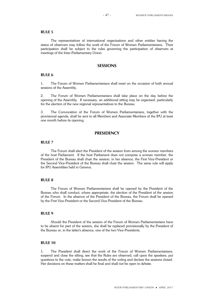The representatives of international organizations and other entities having the status of observers may follow the work of the Forum of Women Parliamentarians. Their participation shall be subject to the rules governing the participation of observers at meetings of the Inter-Parliamentary Union.

## **SESSIONS**

### **RULE 6**

1. The Forum of Women Parliamentarians shall meet on the occasion of both annual sessions of the Assembly.

2. The Forum of Women Parliamentarians shall take place on the day before the opening of the Assembly. If necessary, an additional sitting may be organized, particularly for the election of the new regional representatives to the Bureau.

3. The Convocation of the Forum of Women Parliamentarians, together with the provisional agenda, shall be sent to all Members and Associate Members of the IPU at least one month before its opening.

## **PRESIDENCY**

#### **RULE 7**

The Forum shall elect the President of the session from among the women members of the host Parliament. If the host Parliament does not comprise a woman member, the President of the Bureau shall chair the session; in her absence, the First Vice-President or the Second Vice-President of the Bureau shall chair the session. The same rule will apply for IPU Assemblies held in Geneva.

## **RULE 8**

The Forum of Women Parliamentarians shall be opened by the President of the Bureau who shall conduct, where appropriate, the election of the President of the session of the Forum. In the absence of the President of the Bureau, the Forum shall be opened by the First Vice-President or the Second Vice-President of the Bureau.

### **RULE 9**

Should the President of the session of the Forum of Women Parliamentarians have to be absent for part of the session, she shall be replaced provisionally by the President of the Bureau or, in the latter's absence, one of the two Vice-Presidents.

## **RULE 10**

1. The President shall direct the work of the Forum of Women Parliamentarians, suspend and close the sitting, see that the Rules are observed, call upon the speakers, put questions to the vote, make known the results of the voting and declare the sessions closed. Her decisions on these matters shall be final and shall not be open to debate.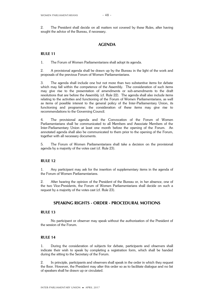2. The President shall decide on all matters not covered by these Rules, after having sought the advice of the Bureau, if necessary.

## **AGENDA**

### **RULE 11**

1. The Forum of Women Parliamentarians shall adopt its agenda.

2. A provisional agenda shall be drawn up by the Bureau in the light of the work and proposals of the previous Forum of Women Parliamentarians.

3. The agenda shall include one but not more than two substantive items for debate which may fall within the competence of the Assembly. The consideration of such items may give rise to the presentation of amendments or sub-amendments to the draft resolutions that are before the Assembly (cf. Rule 22). The agenda shall also include items relating to the activities and functioning of the Forum of Women Parliamentarians, as well as items of possible interest to the general policy of the Inter-Parliamentary Union, its functioning and programme; the consideration of these items may give rise to recommendations to the Governing Council.

4. The provisional agenda and the Convocation of the Forum of Women Parliamentarians shall be communicated to all Members and Associate Members of the Inter-Parliamentary Union at least one month before the opening of the Forum. An annotated agenda shall also be communicated to them prior to the opening of the Forum, together with all necessary documents.

5. The Forum of Women Parliamentarians shall take a decision on the provisional agenda by a majority of the votes cast (cf. Rule 23).

### **RULE 12**

1. Any participant may ask for the insertion of supplementary items in the agenda of the Forum of Women Parliamentarians.

2. After hearing the opinion of the President of the Bureau or, in her absence, one of the two Vice-Presidents, the Forum of Women Parliamentarians shall decide on such a request by a majority of the votes cast (cf. Rule 23).

## **SPEAKING RIGHTS - ORDER - PROCEDURAL MOTIONS**

#### **RULE 13**

No participant or observer may speak without the authorization of the President of the session of the Forum.

### **RULE 14**

1. During the consideration of subjects for debate, participants and observers shall indicate their wish to speak by completing a registration form, which shall be handed during the sitting to the Secretary of the Forum.

2. In principle, participants and observers shall speak in the order in which they request the floor. However, the President may alter this order so as to facilitate dialogue and no list of speakers shall be drawn up or circulated.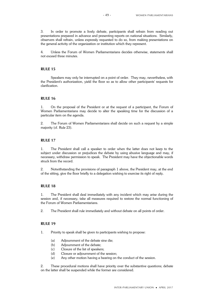3. In order to promote a lively debate, participants shall refrain from reading out presentations prepared in advance and presenting reports on national situations. Similarly, observers shall refrain, unless expressly requested to do so, from making presentations on the general activity of the organization or institution which they represent.

4. Unless the Forum of Women Parliamentarians decides otherwise, statements shall not exceed three minutes.

### **RULE 15**

Speakers may only be interrupted on a point of order. They may, nevertheless, with the President's authorization, yield the floor so as to allow other participants' requests for clarification.

## **RULE 16**

1. On the proposal of the President or at the request of a participant, the Forum of Women Parliamentarians may decide to alter the speaking time for the discussion of a particular item on the agenda.

2. The Forum of Women Parliamentarians shall decide on such a request by a simple majority (cf. Rule 23).

## **RULE 17**

1. The President shall call a speaker to order when the latter does not keep to the subject under discussion or prejudices the debate by using abusive language and may, if necessary, withdraw permission to speak. The President may have the objectionable words struck from the record.

2. Notwithstanding the provisions of paragraph 1 above, the President may, at the end of the sitting, give the floor briefly to a delegation wishing to exercise its right of reply.

## **RULE 18**

1. The President shall deal immediately with any incident which may arise during the session and, if necessary, take all measures required to restore the normal functioning of the Forum of Women Parliamentarians.

2. The President shall rule immediately and without debate on all points of order.

### **RULE 19**

1. Priority to speak shall be given to participants wishing to propose:

- (a) Adjournment of the debate sine die;
- (b) Adjournment of the debate;
- (c) Closure of the list of speakers;
- (d) Closure or adjournment of the session;
- (e) Any other motion having a bearing on the conduct of the session.

2. These procedural motions shall have priority over the substantive questions; debate on the latter shall be suspended while the former are considered.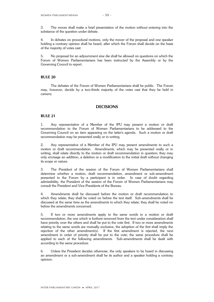3. The mover shall make a brief presentation of the motion without entering into the substance of the question under debate.

4. In debates on procedural motions, only the mover of the proposal and one speaker holding a contrary opinion shall be heard, after which the Forum shall decide on the basis of the majority of votes cast.

5. No proposal for an adjournment sine die shall be allowed on questions on which the Forum of Women Parliamentarians has been instructed by the Assembly or by the Governing Council to report.

#### **RULE 20**

The debates of the Forum of Women Parliamentarians shall be public. The Forum may, however, decide by a two-thirds majority of the votes cast that they be held *in camera*.

## **DECISIONS**

### **RULE 21**

1. Any representative of a Member of the IPU may present a motion or draft recommendation to the Forum of Women Parliamentarians to be addressed to the Governing Council on an item appearing on the latter's agenda. Such a motion or draft recommendation may be presented orally or in writing.

2. Any representative of a Member of the IPU may present amendments to such a motion or draft recommendation. Amendments, which may be presented orally or in writing, shall relate directly to the motion or draft recommendation in question; they may only envisage an addition, a deletion or a modification to the initial draft without changing its scope or nature.

3. The President of the session of the Forum of Women Parliamentarians shall determine whether a motion, draft recommendation, amendment or sub-amendment presented to the Forum by a participant is in order. In case of doubt regarding admissibility, the President of the session of the Forum of Women Parliamentarians may consult the President and Vice-Presidents of the Bureau.

4. Amendments shall be discussed before the motion or draft recommendation to which they relate; they shall be voted on before the text itself. Sub-amendments shall be discussed at the same time as the amendments to which they relate; they shall be voted on before the amendments concerned.

5. If two or more amendments apply to the same words in a motion or draft recommendation, the one which is furthest removed from the text under consideration shall have priority over the others and shall be put to the vote first. If two or more amendments relating to the same words are mutually exclusive, the adoption of the first shall imply the rejection of the other amendment(s). If the first amendment is rejected, the next amendment in order of priority shall be put to the vote; the same procedure shall be applied to each of the following amendments. Sub-amendments shall be dealt with according to the same procedure.

6. Unless the President decides otherwise, the only speakers to be heard in discussing an amendment or a sub-amendment shall be its author and a speaker holding a contrary opinion.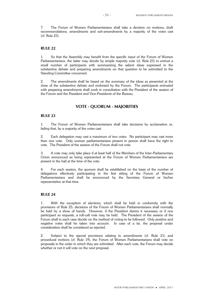7. The Forum of Women Parliamentarians shall take a decision on motions, draft recommendations, amendments and sub-amendments by a majority of the votes cast (cf. Rule 23).

#### **RULE 22**

1. So that the Assembly may benefit from the specific input of the Forum of Women Parliamentarians, the latter may decide by simple majority vote (cf. Rule 23) to entrust a small number of participants with summarizing the salient ideas expressed in the substantive debate and preparing amendments on that question to be submitted to the Standing Committee concerned.

2. The amendments shall be based on the summary of the ideas as presented at the close of the substantive debate and endorsed by the Forum. The participants entrusted with preparing amendments shall work in consultation with the President of the session of the Forum and the President and Vice-Presidents of the Bureau.

## **VOTE - QUORUM - MAJORITIES**

## **RULE 23**

1. The Forum of Women Parliamentarians shall take decisions by acclamation or, failing that, by a majority of the votes cast.

2. Each delegation may cast a maximum of two votes. No participant may cast more than one vote. Only women parliamentarians present in person shall have the right to vote. The President of the session of the Forum shall not vote.

3. A vote may only take place if at least half of the Members of the Inter-Parliamentary Union announced as being represented at the Forum of Women Parliamentarians are present in the hall at the time of the vote.

4. For each session, the quorum shall be established on the basis of the number of delegations effectively participating in the first sitting of the Forum of Women Parliamentarians and shall be announced by the Secretary General or his/her representative at that time.

## **RULE 24**

1. With the exception of elections, which shall be held in conformity with the provisions of Rule 25, decisions of the Forum of Women Parliamentarians shall normally be held by a show of hands. However, if the President deems it necessary or if one participant so requests, a roll-call vote may be held. The President of the session of the Forum shall in each case decide on the method of voting to be followed. Only positive and negative votes shall be taken into account. In case of a tie, the proposal under consideration shall be considered as rejected.

2. Subject to the special provisions relating to amendments (cf. Rule 21) and procedural motions (cf. Rule 19), the Forum of Women Parliamentarians shall vote on proposals in the order in which they are submitted. After each vote, the Forum may decide whether or not it will vote on the next proposal.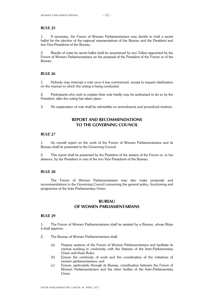1. If necessary, the Forum of Women Parliamentarians may decide to hold a secret ballot for the election of the regional representatives of the Bureau and the President and two Vice-Presidents of the Bureau.

2. Results of votes by secret ballot shall be ascertained by two Tellers appointed by the Forum of Women Parliamentarians on the proposal of the President of the Forum or of the Bureau.

## **RULE 26**

1. Nobody may interrupt a vote once it has commenced, except to request clarification on the manner in which the voting is being conducted.

2. Participants who wish to explain their vote briefly may be authorized to do so by the President, after the voting has taken place.

3. No explanation of vote shall be admissible on amendments and procedural motions.

## **REPORT AND RECOMMENDATIONS TO THE GOVERNING COUNCIL**

## **RULE 27**

1. An overall report on the work of the Forum of Women Parliamentarians and its Bureau shall be presented to the Governing Council.

2. This report shall be presented by the President of the session of the Forum or, in her absence, by the President or one of the two Vice-Presidents of the Bureau.

### **RULE 28**

The Forum of Women Parliamentarians may also make proposals and recommendations to the Governing Council concerning the general policy, functioning and programme of the Inter-Parliamentary Union.

## **BUREAU OF WOMEN PARLIAMENTARIANS**

### **RULE 29**

1. The Forum of Women Parliamentarians shall be assisted by a Bureau, whose Rules it shall approve.

- 2. The Bureau of Women Parliamentarians shall:
	- (a) Prepare sessions of the Forum of Women Parliamentarians and facilitate its normal working in conformity with the Statutes of the Inter-Parliamentary Union and these Rules;
	- (b) Ensure the continuity of work and the coordination of the initiatives of women parliamentarians; and
	- (c) Ensure, particularly through its Bureau, coordination between the Forum of Women Parliamentarians and the other bodies of the Inter-Parliamentary Union.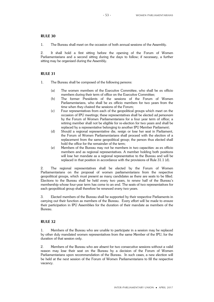1. The Bureau shall meet on the occasion of both annual sessions of the Assembly.

2. It shall hold a first sitting before the opening of the Forum of Women Parliamentarians and a second sitting during the days to follow; if necessary, a further sitting may be organized during the Assembly.

## **RULE 31**

- 1. The Bureau shall be composed of the following persons:
	- (a) The women members of the Executive Committee, who shall be ex officio members during their term of office on the Executive Committee;
	- (b) The former Presidents of the sessions of the Forum of Women Parliamentarians, who shall be ex officio members for two years from the time when they chaired the sessions of the Forum;
	- (c) Four representatives from each of the geopolitical groups which meet on the occasion of IPU meetings; these representatives shall be elected *ad personam* by the Forum of Women Parliamentarians for a four year term of office; a retiring member shall not be eligible for re-election for two years and shall be replaced by a representative belonging to another IPU Member Parliament;
	- (d) Should a regional representative die, resign or lose her seat in Parliament, the Forum of Women Parliamentarians shall proceed with the election of a replacement from the same geopolitical group; the person thus elected shall hold the office for the remainder of the term;
	- (e) Members of the Bureau may not be members in two capacities: as ex officio members and as regional representatives. A member holding both positions will lose her mandate as a regional representative to the Bureau and will be replaced in that position in accordance with the provisions of Rule 31.1 (d).

2. The regional representatives shall be elected by the Forum of Women Parliamentarians on the proposal of women parliamentarians from the respective geopolitical groups, which must present as many candidates as there are seats to be filled. Elections to the Bureau shall be held every two years, to renew half of the Bureau's membership whose four-year term has come to an end. The seats of two representatives for each geopolitical group shall therefore be renewed every two years.

3. Elected members of the Bureau shall be supported by their respective Parliaments in carrying out their function as members of the Bureau. Every effort will be made to ensure their participation in IPU Assemblies for the duration of their mandate as members of the Bureau.

## **RULE 32**

1. Members of the Bureau who are unable to participate in a session may be replaced by other duly mandated women representatives from the same Member of the IPU, for the duration of that session only.

2. Members of the Bureau who are absent for two consecutive sessions without a valid reason may lose their seat on the Bureau by a decision of the Forum of Women Parliamentarians upon recommendation of the Bureau. In such cases, a new election will be held at the next session of the Forum of Women Parliamentarians to fill the respective vacancy.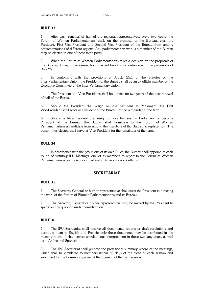1. After each renewal of half of the regional representatives, every two years, the Forum of Women Parliamentarians shall, on the proposal of the Bureau, elect the President, First Vice-President and Second Vice-President of the Bureau from among parliamentarians of different regions. Any parliamentarian who is a member of the Bureau may be elected to one of these three posts.

2. When the Forum of Women Parliamentarians takes a decision on the proposals of the Bureau, it may, if necessary, hold a secret ballot in accordance with the provisions of Rule 25.

3. In conformity with the provisions of Article 25.1 of the Statutes of the Inter-Parliamentary Union, the President of the Bureau shall be an ex officio member of the Executive Committee of the Inter-Parliamentary Union.

4. The President and Vice-Presidents shall hold office for two years till the next renewal of half of the Bureau.

5. Should the President die, resign or lose her seat in Parliament, the First Vice-President shall serve as President of the Bureau for the remainder of the term.

6. Should a Vice-President die, resign or lose her seat in Parliament or become President of the Bureau, the Bureau shall nominate to the Forum of Women Parliamentarians a candidate from among the members of the Bureau to replace her. The person thus elected shall serve as Vice-President for the remainder of the term.

#### **RULE 34**

In accordance with the provisions of its own Rules, the Bureau shall appoint, at each round of statutory IPU Meetings, one of its members to report to the Forum of Women Parliamentarians on the work carried out at its two previous sittings.

## **SECRETARIAT**

### **RULE 35**

1. The Secretary General or his/her representative shall assist the President in directing the work of the Forum of Women Parliamentarians and its Bureau.

2. The Secretary General or his/her representative may be invited by the President to speak on any question under consideration.

## **RULE 36**

1. The IPU Secretariat shall receive all documents, reports or draft resolutions and distribute them in English and French; only these documents may be distributed in the meeting room. It shall ensure simultaneous interpretation in these two languages, as well as in Arabic and Spanish.

2. The IPU Secretariat shall prepare the provisional summary record of the meetings, which shall be circulated to members within 60 days of the close of each session and submitted for the Forum's approval at the opening of the next session.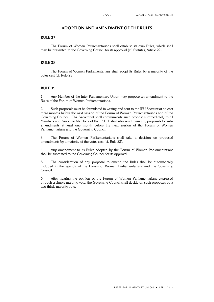## **ADOPTION AND AMENDMENT OF THE RULES**

## **RULE 37**

The Forum of Women Parliamentarians shall establish its own Rules, which shall then be presented to the Governing Council for its approval (cf. Statutes, Article 22).

### **RULE 38**

The Forum of Women Parliamentarians shall adopt its Rules by a majority of the votes cast (cf. Rule 23).

### **RULE 39**

1. Any Member of the Inter-Parliamentary Union may propose an amendment to the Rules of the Forum of Women Parliamentarians.

2. Such proposals must be formulated in writing and sent to the IPU Secretariat at least three months before the next session of the Forum of Women Parliamentarians and of the Governing Council. The Secretariat shall communicate such proposals immediately to all Members and Associate Members of the IPU. It shall also send them any proposals for subamendments at least one month before the next session of the Forum of Women Parliamentarians and the Governing Council.

3. The Forum of Women Parliamentarians shall take a decision on proposed amendments by a majority of the votes cast (cf. Rule 23).

4. Any amendment to its Rules adopted by the Forum of Women Parliamentarians shall be submitted to the Governing Council for its approval.

5. The consideration of any proposal to amend the Rules shall be automatically included in the agenda of the Forum of Women Parliamentarians and the Governing Council.

6. After hearing the opinion of the Forum of Women Parliamentarians expressed through a simple majority vote, the Governing Council shall decide on such proposals by a two-thirds majority vote.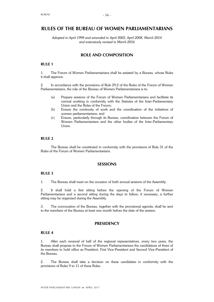## **RULES OF THE BUREAU OF WOMEN PARLIAMENTARIANS**

*Adopted in April 1999 and amended in April 2003, April 2008, March 2014 and extensively revised in March 2016*

## **ROLE AND COMPOSITION**

## **RULE 1**

1. The Forum of Women Parliamentarians shall be assisted by a Bureau, whose Rules it shall approve.

2. In accordance with the provisions of Rule 29.2 of the Rules of the Forum of Women Parliamentarians, the role of the Bureau of Women Parliamentarians is to:

- (a) Prepare sessions of the Forum of Women Parliamentarians and facilitate its normal working in conformity with the Statutes of the Inter-Parliamentary Union and the Rules of the Forum;
- (b) Ensure the continuity of work and the coordination of the initiatives of women parliamentarians; and
- (c) Ensure, particularly through its Bureau, coordination between the Forum of Women Parliamentarians and the other bodies of the Inter-Parliamentary Union.

## **RULE 2**

The Bureau shall be constituted in conformity with the provisions of Rule 31 of the Rules of the Forum of Women Parliamentarians.

## **SESSIONS**

#### **RULE 3**

1. The Bureau shall meet on the occasion of both annual sessions of the Assembly.

2. It shall hold a first sitting before the opening of the Forum of Women Parliamentarians and a second sitting during the days to follow; if necessary, a further sitting may be organized during the Assembly.

3. The convocation of the Bureau, together with the provisional agenda, shall be sent to the members of the Bureau at least one month before the date of the session.

## **PRESIDENCY**

### **RULE 4**

1. After each renewal of half of the regional representatives, every two years, the Bureau shall propose to the Forum of Women Parliamentarians the candidature of three of its members to hold office as President, First Vice-President and Second Vice-President of the Bureau.

2. The Bureau shall take a decision on these candidates in conformity with the provisions of Rules 9 to 11 of these Rules.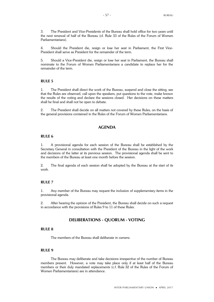3. The President and Vice-Presidents of the Bureau shall hold office for two years until the next renewal of half of the Bureau (cf. Rule 33 of the Rules of the Forum of Women Parliamentarians).

4. Should the President die, resign or lose her seat in Parliament, the First Vice-President shall serve as President for the remainder of the term.

5. Should a Vice-President die, resign or lose her seat in Parliament, the Bureau shall nominate to the Forum of Women Parliamentarians a candidate to replace her for the remainder of the term.

### **RULE 5**

1. The President shall direct the work of the Bureau, suspend and close the sitting, see that the Rules are observed, call upon the speakers, put questions to the vote, make known the results of the voting and declare the sessions closed. Her decisions on these matters shall be final and shall not be open to debate.

2. The President shall decide on all matters not covered by these Rules, on the basis of the general provisions contained in the Rules of the Forum of Women Parliamentarians.

## **AGENDA**

### **RULE 6**

1. A provisional agenda for each session of the Bureau shall be established by the Secretary General in consultation with the President of the Bureau in the light of the work and decisions of the latter at its previous session. The provisional agenda shall be sent to the members of the Bureau at least one month before the session.

2. The final agenda of each session shall be adopted by the Bureau at the start of its work.

### **RULE 7**

1. Any member of the Bureau may request the inclusion of supplementary items in the provisional agenda.

2. After hearing the opinion of the President, the Bureau shall decide on such a request in accordance with the provisions of Rules 9 to 11 of these Rules.

## **DELIBERATIONS - QUORUM - VOTING**

## **RULE 8**

The members of the Bureau shall deliberate *in camera*.

#### **RULE 9**

The Bureau may deliberate and take decisions irrespective of the number of Bureau members present. However, a vote may take place only if at least half of the Bureau members or their duly mandated replacements (c.f. Rule 32 of the Rules of the Forum of Women Parliamentarians) are in attendance.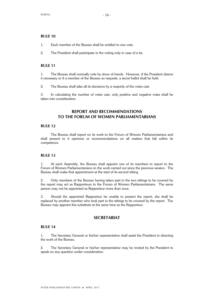- 1. Each member of the Bureau shall be entitled to one vote.
- 2. The President shall participate in the voting only in case of a tie.

### **RULE 11**

1. The Bureau shall normally vote by show of hands. However, if the President deems it necessary or if a member of the Bureau so requests, a secret ballot shall be held.

2. The Bureau shall take all its decisions by a majority of the votes cast.

3. In calculating the number of votes cast, only positive and negative votes shall be taken into consideration.

## **REPORT AND RECOMMENDATIONS TO THE FORUM OF WOMEN PARLIAMENTARIANS**

#### **RULE 12**

The Bureau shall report on its work to the Forum of Women Parliamentarians and shall present to it opinions or recommendations on all matters that fall within its competence.

#### **RULE 13**

1. At each Assembly, the Bureau shall appoint one of its members to report to the Forum of Women Parliamentarians on the work carried out since the previous session. The Bureau shall make that appointment at the start of its second sitting.

2. Only members of the Bureau having taken part in the two sittings to be covered by the report may act as Rapporteurs to the Forum of Women Parliamentarians. The same person may not be appointed as Rapporteur more than once.

3. Should the appointed Rapporteur be unable to present the report, she shall be replaced by another member who took part in the sittings to be covered by the report. The Bureau may appoint this substitute at the same time as the Rapporteur.

## **SECRETARIAT**

## **RULE 14**

1. The Secretary General or his/her representative shall assist the President in directing the work of the Bureau.

2. The Secretary General or his/her representative may be invited by the President to speak on any question under consideration.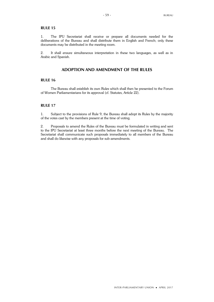1. The IPU Secretariat shall receive or prepare all documents needed for the deliberations of the Bureau and shall distribute them in English and French; only these documents may be distributed in the meeting room.

2. It shall ensure simultaneous interpretation in these two languages, as well as in Arabic and Spanish.

## **ADOPTION AND AMENDMENT OF THE RULES**

#### **RULE 16**

The Bureau shall establish its own Rules which shall then be presented to the Forum of Women Parliamentarians for its approval (cf. Statutes, Article 22).

## **RULE 17**

1. Subject to the provisions of Rule 9, the Bureau shall adopt its Rules by the majority of the votes cast by the members present at the time of voting.

2. Proposals to amend the Rules of the Bureau must be formulated in writing and sent to the IPU Secretariat at least three months before the next meeting of the Bureau. The Secretariat shall communicate such proposals immediately to all members of the Bureau and shall do likewise with any proposals for sub-amendments.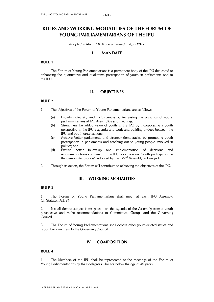# **RULES AND WORKING MODALITIES OF THE FORUM OF YOUNG PARLIAMENTARIANS OF THE IPU**

*Adopted in March 2014 and amended in April 2017*

## **I. MANDATE**

## **RULE 1**

The Forum of Young Parliamentarians is a permanent body of the IPU dedicated to enhancing the quantitative and qualitative participation of youth in parliaments and in the IPU.

## **II. OBJECTIVES**

## **RULE 2**

- 1. The objectives of the Forum of Young Parliamentarians are as follows:
	- (a) Broaden diversity and inclusiveness by increasing the presence of young parliamentarians at IPU Assemblies and meetings;
	- (b) Strengthen the added value of youth in the IPU by incorporating a youth perspective in the IPU's agenda and work and building bridges between the IPU and youth organizations;
	- (c) Achieve better parliaments and stronger democracies by promoting youth participation in parliaments and reaching out to young people involved in politics; and
	- (d) Ensure better follow-up and implementation of decisions and recommendations contained in the IPU resolution on "Youth participation in the democratic process", adopted by the 122<sup>nd</sup> Assembly in Bangkok.
- 2. Through its action, the Forum will contribute to achieving the objectives of the IPU.

## **III. WORKING MODALITIES**

## **RULE 3**

1. The Forum of Young Parliamentarians shall meet at each IPU Assembly (cf. Statutes, Art. 24).

2. It shall debate subject items placed on the agenda of the Assembly from a youth perspective and make recommendations to Committees, Groups and the Governing Council.

3. The Forum of Young Parliamentarians shall debate other youth-related issues and report back on them to the Governing Council.

## **IV. COMPOSITION**

#### **RULE 4**

1. The Members of the IPU shall be represented at the meetings of the Forum of Young Parliamentarians by their delegates who are below the age of 45 years.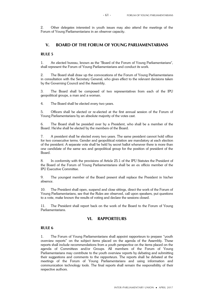2. Other delegates interested in youth issues may also attend the meetings of the Forum of Young Parliamentarians in an observer capacity.

## **V. BOARD OF THE FORUM OF YOUNG PARLIAMENTARIANS**

## **RULE 5**

1. An elected bureau, known as the "Board of the Forum of Young Parliamentarians", shall represent the Forum of Young Parliamentarians and conduct its work.

2. The Board shall draw up the convocations of the Forum of Young Parliamentarians in consultation with the Secretary General, who gives effect to the relevant decisions taken by the Governing Council and the Assembly.

3. The Board shall be composed of two representatives from each of the IPU geopolitical groups, a man and a woman.

4. The Board shall be elected every two years.

5. Officers shall be elected or re-elected at the first annual session of the Forum of Young Parliamentarians by an absolute majority of the votes cast.

6. The Board shall be presided over by a President, who shall be a member of the Board. He/she shall be elected by the members of the Board.

7. A president shall be elected every two years. The same president cannot hold office for two consecutive terms. Gender and geopolitical rotation are mandatory at each election of the president. A separate vote shall be held by secret ballot whenever there is more than one candidate of the same sex and geopolitical group for the position of president of the Board.

8. In conformity with the provisions of Article 25.1 of the IPU Statutes the President of the Board of the Forum of Young Parliamentarians shall be an ex officio member of the IPU Executive Committee.

9. The youngest member of the Board present shall replace the President in his/her absence.

10. The President shall open, suspend and close sittings, direct the work of the Forum of Young Parliamentarians, see that the Rules are observed, call upon speakers, put questions to a vote, make known the results of voting and declare the sessions closed.

11. The President shall report back on the work of the Board to the Forum of Young Parliamentarians.

## **VI. RAPPORTEURS**

### **RULE 6**

1. The Forum of Young Parliamentarians shall appoint rapporteurs to prepare "youth overview reports" on the subject items placed on the agenda of the Assembly. These reports shall include recommendations from a youth perspective on the items placed on the agenda of Committees and/or Groups. All members of the Forum of Young Parliamentarians may contribute to the youth overview reports by debating and submitting their suggestions and comments to the rapporteurs. The reports shall be debated at the meetings of the Forum of Young Parliamentarians and using information and communication technology tools. The final reports shall remain the responsibility of their respective authors.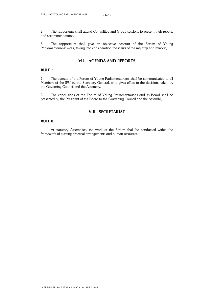2. The rapporteurs shall attend Committee and Group sessions to present their reports and recommendations.

3. The rapporteurs shall give an objective account of the Forum of Young Parliamentarians' work, taking into consideration the views of the majority and minority.

## **VII. AGENDA AND REPORTS**

## **RULE 7**

1. The agenda of the Forum of Young Parliamentarians shall be communicated to all Members of the IPU by the Secretary General, who gives effect to the decisions taken by the Governing Council and the Assembly.

2. The conclusions of the Forum of Young Parliamentarians and its Board shall be presented by the President of the Board to the Governing Council and the Assembly.

## **VIII. SECRETARIAT**

### **RULE 8**

At statutory Assemblies, the work of the Forum shall be conducted within the framework of existing practical arrangements and human resources.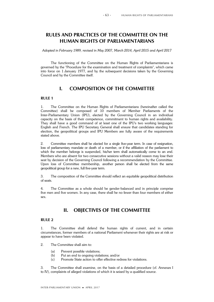# **RULES AND PRACTICES OF THE COMMITTEE ON THE HUMAN RIGHTS OF PARLIAMENTARIANS**

*Adopted in February 1989, revised in May 2007, March 2014, April 2015 and April 2017*

The functioning of the Committee on the Human Rights of Parliamentarians is governed by the "Procedure for the examination and treatment of complaints", which came into force on 1 January 1977, and by the subsequent decisions taken by the Governing Council and by the Committee itself.

# **I. COMPOSITION OF THE COMMITTEE**

## **RULE 1**

1. The Committee on the Human Rights of Parliamentarians (hereinafter called the Committee) shall be composed of 10 members of Member Parliaments of the Inter-Parliamentary Union (IPU), elected by the Governing Council in an individual capacity on the basis of their competence, commitment to human rights and availability. They shall have a good command of at least one of the IPU's two working languages: English and French. The IPU Secretary General shall ensure that candidates standing for election, the geopolitical groups and IPU Members are fully aware of the requirements stated above.

2. Committee members shall be elected for a single five-year term. In case of resignation, loss of parliamentary mandate or death of a member, or if the affiliation of the parliament to which the member belongs is suspended, his/her term shall automatically come to an end. Members who are absent for two consecutive sessions without a valid reason may lose their seat by decision of the Governing Council following a recommendation by the Committee. Upon loss of Committee membership, another person shall be elected from the same geopolitical group for a new, full five-year term.

3. The composition of the Committee should reflect an equitable geopolitical distribution of seats.

4. The Committee as a whole should be gender-balanced and in principle comprise five men and five women. In any case, there shall be no fewer than four members of either sex.

# **II. OBJECTIVES OF THE COMMITTEE**

## **RULE 2**

1. The Committee shall defend the human rights of current, and in certain circumstances, former members of a national Parliament whenever their rights are at risk or appear to have been violated.

- 2. The Committee shall aim to:
	- (a) Prevent possible violations;
	- (b) Put an end to ongoing violations; and/or
	- (c) Promote State action to offer effective redress for violations.

3. The Committee shall examine, on the basis of a detailed procedure (cf. Annexes I to IV), complaints of alleged violations of which it is seized by a qualified source.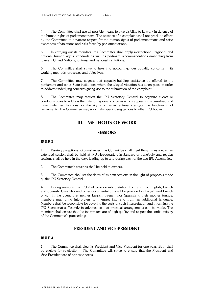4. The Committee shall use all possible means to give visibility to its work in defence of the human rights of parliamentarians. The absence of a complaint shall not preclude efforts by the Committee to advocate respect for the human rights of parliamentarians and raise awareness of violations and risks faced by parliamentarians.

5. In carrying out its mandate, the Committee shall apply international, regional and national human rights standards as well as pertinent recommendations emanating from relevant United Nations, regional and national institutions.

6. The Committee shall strive to take into account gender equality concerns in its working methods, processes and objectives.

7. The Committee may suggest that capacity-building assistance be offered to the parliament and other State institutions where the alleged violation has taken place in order to address underlying concerns giving rise to the submission of the complaint.

8. The Committee may request the IPU Secretary General to organize events or conduct studies to address thematic or regional concerns which appear in its case-load and have wider ramifications for the rights of parliamentarians and/or the functioning of parliaments. The Committee may also make specific suggestions to other IPU bodies.

# **III. METHODS OF WORK**

### **SESSIONS**

### **RULE 3**

1. Barring exceptional circumstances, the Committee shall meet three times a year: an extended session shall be held at IPU Headquarters in January or June/July and regular sessions shall be held in the days leading up to and during each of the two IPU Assemblies.

2. The Committee's sessions shall be held *in camera*.

3. The Committee shall set the dates of its next sessions in the light of proposals made by the IPU Secretary General.

4. During sessions, the IPU shall provide interpretation from and into English, French and Spanish. Case files and other documentation shall be provided in English and French only. In the event that neither English, French nor Spanish is their mother tongue, members may bring interpreters to interpret into and from an additional language. Members shall be responsible for covering the costs of such interpretation and informing the IPU Secretariat sufficiently in advance so that practical arrangements can be made. The members shall ensure that the interpreters are of high quality and respect the confidentiality of the Committee's proceedings.

### **PRESIDENT AND VICE-PRESIDENT**

## **RULE 4**

1. The Committee shall elect its President and Vice-President for one year. Both shall be eligible for re-election. The Committee will strive to ensure that the President and Vice-President are of opposite sexes.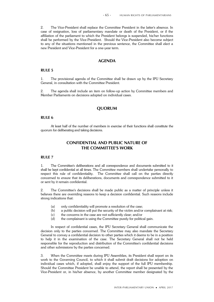2. The Vice-President shall replace the Committee President in the latter's absence. In case of resignation, loss of parliamentary mandate or death of the President, or if the affiliation of the parliament to which the President belongs is suspended, his/her functions shall be performed by the Vice-President. Should the Vice-President also become subject to any of the situations mentioned in the previous sentence, the Committee shall elect a new President and Vice-President for a one-year term.

## **AGENDA**

#### **RULE 5**

1. The provisional agenda of the Committee shall be drawn up by the IPU Secretary General, in consultation with the Committee President.

2. The agenda shall include an item on follow-up action by Committee members and Member Parliaments on decisions adopted on individual cases.

## **QUORUM**

#### **RULE 6**

At least half of the number of members in exercise of their functions shall constitute the quorum for deliberating and taking decisions.

## **CONFIDENTIAL AND PUBLIC NATURE OF THE COMMITTEE'S WORK**

#### **RULE 7**

1. The Committee's deliberations and all correspondence and documents submitted to it shall be kept confidential at all times. The Committee members shall undertake personally to respect this rule of confidentiality. The Committee shall call on the parties directly concerned to ensure that its deliberations, documents and correspondence submitted to it or sent by it remain confidential.

2. The Committee's decisions shall be made public as a matter of principle unless it believes there are overriding reasons to keep a decision confidential. Such reasons include strong indications that:

- (a) only confidentiality will promote a resolution of the case;
- (b) a public decision will put the security of the victim and/or complainant at risk;
- (c) the concerns in the case are not sufficiently clear; and/or
- (d) the complainant is using the Committee purely for political gain.

In respect of confidential cases, the IPU Secretary General shall communicate the decision only to the parties concerned. The Committee may also mandate the Secretary General to convey a confidential decision to other parties which it deems to be in a position to help it in the examination of the case. The Secretary General shall not be held responsible for the reproduction and distribution of the Committee's confidential decisions and other submissions by the parties concerned.

3. When the Committee meets during IPU Assemblies, its President shall report on its work to the Governing Council, to which it shall submit draft decisions for adoption on individual cases which, if adopted, shall enjoy the support of the full IPU membership. Should the Committee President be unable to attend, the report shall be presented by the Vice-President or, in his/her absence, by another Committee member designated by the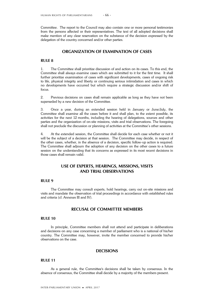Committee. The report to the Council may also contain one or more personal testimonies from the persons affected or their representatives. The text of all adopted decisions shall make mention of any clear reservation on the substance of the decision expressed by the delegation of the country concerned and/or other parties.

## **ORGANIZATION OF EXAMINATION OF CASES**

## **RULE 8**

1. The Committee shall prioritize discussion of and action on its cases. To this end, the Committee shall always examine cases which are submitted to it for the first time. It shall further prioritize examination of cases with significant developments, cases of ongoing risk to life, physical integrity and liberty or continuing serious intimidation and cases in which no developments have occurred but which require a strategic discussion and/or shift of focus.

2. Previous decisions on cases shall remain applicable as long as they have not been superseded by a new decision of the Committee.

3. Once a year, during an extended session held in January or June/July, the Committee shall examine all the cases before it and shall plan, to the extent possible, its activities for the next 12 months, including the hearing of delegations, sources and other parties and the organization of on-site missions, visits and trial observations. The foregoing shall not preclude the discussion or planning of activities at the Committee's other sessions.

4. At the extended session, the Committee shall decide for each case whether or not it will be the subject of a decision at that session. The Committee may decide, in respect of the other cases, whether, in the absence of a decision, specific follow-up action is required. The Committee shall adjourn the adoption of any decision on the other cases to a future session on the understanding that its concerns as expressed in its most recent decisions in those cases shall remain valid.

## **USE OF EXPERTS, HEARINGS, MISSIONS, VISITS AND TRIAL OBSERVATIONS**

### **RULE 9**

The Committee may consult experts, hold hearings, carry out on-site missions and visits and mandate the observation of trial proceedings in accordance with established rules and criteria (cf. Annexes III and IV).

## **RECUSAL OF COMMITTEE MEMBERS**

#### **RULE 10**

In principle, Committee members shall not attend and participate in deliberations and decisions on any case concerning a member of parliament who is a national of his/her country. The Committee may, however, invite the member concerned to provide his/her observations on the case.

### **DECISIONS**

#### **RULE 11**

As a general rule, the Committee's decisions shall be taken by consensus. In the absence of consensus, the Committee shall decide by a majority of the members present.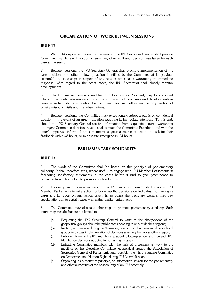## **ORGANIZATION OF WORK BETWEEN SESSIONS**

## **RULE 12**

1. Within 14 days after the end of the session, the IPU Secretary General shall provide Committee members with a succinct summary of what, if any, decision was taken for each case at the session.

2. Between sessions, the IPU Secretary General shall promote implementation of the case decisions and other follow-up action identified by the Committee at its previous session(s) and take steps in respect of any new or other cases warranting an immediate response. With regard to the other cases, the IPU Secretariat shall closely monitor developments.

3. The Committee members, and first and foremost its President, may be consulted where appropriate between sessions on the submission of new cases and developments in cases already under examination by the Committee, as well as on the organization of on-site missions, visits and trial observations.

4. Between sessions, the Committee may exceptionally adopt a public or confidential decision in the event of an urgent situation requiring its immediate attention. To this end, should the IPU Secretary General receive information from a qualified source warranting an urgent Committee decision, he/she shall contact the Committee President, and with the latter's approval, inform all other members, suggest a course of action and ask for their feedback within 48 hours, or in absolute emergencies, 24 hours.

## **PARLIAMENTARY SOLIDARITY**

#### **RULE 13**

1. The work of the Committee shall be based on the principle of parliamentary solidarity. It shall therefore seek, where useful, to engage with IPU Member Parliaments in facilitating satisfactory settlements in the cases before it and to give prominence to parliamentary action taken to promote such solutions.

2. Following each Committee session, the IPU Secretary General shall invite all IPU Member Parliaments to take action to follow up the decisions on individual human rights cases and to report on any action taken. In so doing, the Secretary General may pay special attention to certain cases warranting parliamentary action.

3. The Committee may also take other steps to promote parliamentary solidarity. Such efforts may include, but are not limited to:

- (a) Requesting the IPU Secretary General to write to the chairpersons of the geopolitical groups about the public cases pending in or outside their regions;
- (b) Inviting, at a session during the Assembly, one or two chairpersons of geopolitical groups to discuss implementation of decisions affecting their (or another) region;
- (c) Publicly informing the IPU membership about follow-up action taken by each IPU Member on decisions adopted in human rights cases;
- (d) Entrusting Committee members with the task of presenting its work to the meetings of the Executive Committee, geopolitical groups, the Association of Secretaries General of Parliaments and, possibly, the Third Standing Committee on Democracy and Human Rights during IPU Assemblies; and
- (e) Organizing, as a matter of principle, an information session for the parliamentary and other authorities of the host country of an IPU Assembly.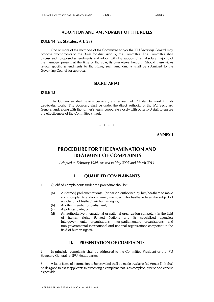## **ADOPTION AND AMENDMENT OF THE RULES**

## **RULE 14 (cf. Statutes, Art. 23)**

One or more of the members of the Committee and/or the IPU Secretary General may propose amendments to the Rules for discussion by the Committee. The Committee shall discuss such proposed amendments and adopt, with the support of an absolute majority of the members present at the time of the vote, its own views thereon. Should these views favour specific amendments to the Rules, such amendments shall be submitted to the Governing Council for approval.

### **SECRETARIAT**

### **RULE 15**

The Committee shall have a Secretary and a team of IPU staff to assist it in its day-to-day work. The Secretary shall be under the direct authority of the IPU Secretary General and, along with the former's team, cooperate closely with other IPU staff to ensure the effectiveness of the Committee's work.

\* \* \* \*

**ANNEX I**

# **PROCEDURE FOR THE EXAMINATION AND TREATMENT OF COMPLAINTS**

*Adopted in February 1989, revised in May 2007 and March 2014*

## **I. QUALIFIED COMPLAINANTS**

- 1. Qualified complainants under the procedure shall be:
	- (a) A (former) parliamentarian(s) (or person authorized by him/her/them to make such complaints and/or a family member) who has/have been the subject of a violation of his/her/their human rights;
	- (b) Another member of parliament;
	- (c) A political party; or
	- (d) An authoritative international or national organization competent in the field of human rights (United Nations and its specialized agencies; intergovernmental organizations; inter-parliamentary organizations; and non-governmental international and national organizations competent in the field of human rights).

## **II. PRESENTATION OF COMPLAINTS**

2. In principle, complaints shall be addressed to the Committee President or the IPU Secretary General, at IPU Headquarters.

3. A list of items of information to be provided shall be made available (cf. Annex II). It shall be designed to assist applicants in presenting a complaint that is as complete, precise and concise as possible.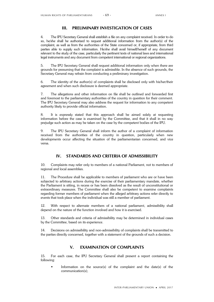### **III. PRELIMINARY INVESTIGATION OF CASES**

4. The IPU Secretary General shall establish a file on any complaint received. In order to do so, he/she shall be authorized to request additional information from the author(s) of the complaint, as well as from the authorities of the State concerned or, if appropriate, from third parties able to supply such information. He/she shall avail himself/herself of any document relevant to the study of the case, particularly the pertinent texts of national laws and international legal instruments and any document from competent international or regional organizations.

5. The IPU Secretary General shall request additional information only when there are grounds for presuming that the complaint is admissible. In the absence of such grounds, the Secretary General may refrain from conducting a preliminary investigation.

6. The identity of the author(s) of complaints shall be disclosed only with his/her/their agreement and when such disclosure is deemed appropriate.

7. The allegations and other information on file shall be outlined and forwarded first and foremost to the parliamentary authorities of the country in question for their comment. The IPU Secretary General may also address the request for information to any competent authority likely to provide official information.

8. It is expressly stated that this approach shall be aimed solely at requesting information before the case is examined by the Committee, and that it shall in no way prejudge such action as may be taken on the case by the competent bodies of the IPU.

9. The IPU Secretary General shall inform the author of a complaint of information received from the authorities of the country in question, particularly when new developments occur affecting the situation of the parliamentarian concerned, and vice versa.

### **IV. STANDARDS AND CRITERIA OF ADMISSIBILITY**

10. Complaints may refer only to members of a national Parliament, not to members of regional and local assemblies.

11. The Procedure shall be applicable to members of parliament who are or have been subjected to arbitrary actions during the exercise of their parliamentary mandate, whether the Parliament is sitting, in recess or has been dissolved as the result of unconstitutional or extraordinary measures. The Committee shall also be competent to examine complaints regarding former members of parliament when the alleged arbitrary actions refer directly to events that took place when the individual was still a member of parliament.

12. With respect to alternate members of a national parliament, admissibility shall depend on the nature of the function involved and how it is exercised.

13. Other standards and criteria of admissibility may be determined in individual cases by the Committee, based on its experience.

14. Decisions on admissibility and non-admissibility of complaints shall be transmitted to the parties directly concerned, together with a statement of the grounds of such a decision.

# **V. EXAMINATION OF COMPLAINTS**

15. For each case, the IPU Secretary General shall present a report containing the following:

 Information on the source(s) of the complaint and the date(s) of the communication(s);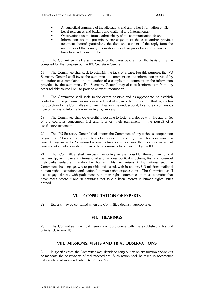- An analytical summary of the allegations and any other information on file;
- Legal references and background (national and international);
- Observations on the formal admissibility of the communication(s); and
- Information on the preliminary investigation of the case and/or previous treatment thereof, particularly the date and content of the reply from the authorities of the country in question to such requests for information as may have been addressed to them.

16. The Committee shall examine each of the cases before it on the basis of the file compiled for that purpose by the IPU Secretary General.

17. The Committee shall seek to establish the facts of a case. For this purpose, the IPU Secretary General shall invite the authorities to comment on the information provided by the author of a complaint, and the author of a complaint to comment on the information provided by the authorities. The Secretary General may also seek information from any other reliable source likely to provide relevant information.

18. The Committee shall seek, to the extent possible and as appropriate, to establish contact with the parliamentarian concerned, first of all, in order to ascertain that he/she has no objection to the Committee examining his/her case and, second, to ensure a continuous flow of first-hand information regarding his/her case.

19. The Committee shall do everything possible to foster a dialogue with the authorities of the countries concerned, first and foremost their parliament, in the pursuit of a satisfactory settlement.

20. The IPU Secretary General shall inform the Committee of any technical cooperation project the IPU is conducting or intends to conduct in a country in which it is examining a case. It may invite the Secretary General to take steps to ensure that its concerns in that case are taken into consideration in order to ensure coherent action by the IPU.

21. The Committee shall engage, including where possible through an official partnership, with relevant international and regional political structures, first and foremost their parliamentary arm, and/or their human rights mechanisms. At the national level, the Committee shall engage, where possible and useful, with in-country UN missions, national human rights institutions and national human rights organizations. The Committee shall also engage directly with parliamentary human rights committees in those countries that have cases before it and in countries that take a keen interest in human rights issues abroad.

### **VI. CONSULTATION OF EXPERTS**

22. Experts may be consulted when the Committee deems it appropriate.

### **VII. HEARINGS**

23. The Committee may hold hearings in accordance with the established rules and criteria (cf. Annex III).

### **VIII. MISSIONS, VISITS AND TRIAL OBSERVATIONS**

24. In specific cases, the Committee may decide to carry out an on-site mission and/or visit or mandate the observation of trial proceedings. Such action shall be taken in accordance with established rules and criteria (cf. Annex IV).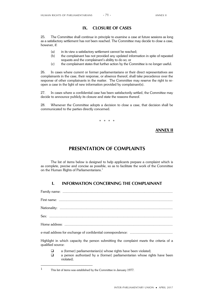### **IX. CLOSURE OF CASES**

25. The Committee shall continue in principle to examine a case at future sessions as long as a satisfactory settlement has not been reached. The Committee may decide to close a case, however, if:

- (a) in its view a satisfactory settlement cannot be reached;
- (b) the complainant has not provided any updated information in spite of repeated requests and the complainant's ability to do so; or
- (c) the complainant states that further action by the Committee is no longer useful.

26. In cases where current or former parliamentarians or their direct representatives are complainants in the case, their response, or absence thereof, shall take precedence over the response of other complainants in the matter. The Committee may reserve the right to reopen a case in the light of new information provided by complainant(s).

27. In cases where a confidential case has been satisfactorily settled, the Committee may decide to announce publicly its closure and state the reasons thereof.

28. Whenever the Committee adopts a decision to close a case, that decision shall be communicated to the parties directly concerned.

\* \* \* \*

### **ANNEX II**

# **PRESENTATION OF COMPLAINTS**

The list of items below is designed to help applicants prepare a complaint which is as complete, precise and concise as possible, so as to facilitate the work of the Committee on the Human Rights of Parliamentarians.<sup>1</sup>

# **I. INFORMATION CONCERNING THE COMPLAINANT**

Family name: ....................................................................................................................

First name: ........................................................................................................................ Nationality: .......................................................................................................................

Sex: ..................................................................................................................................

Home address: ..................................................................................................................

e-mail address for exchange of confidential correspondence: .............................................

Highlight in which capacity the person submitting the complaint meets the criteria of a qualified source:

- $\Box$  a (former) parliamentarian(s) whose rights have been violated;
- a person authorized by a (former) parliamentarian whose rights have been violated;

<sup>1</sup> This list of items was established by the Committee in January 1977.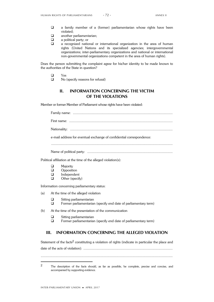- a family member of a (former) parliamentarian whose rights have been violated;
- **a** another parliamentarian;
- $\Box$  a political party; or
- a recognized national or international organization in the area of human rights (United Nations and its specialized agencies; intergovernmental organizations; inter-parliamentary organizations and national or international non-governmental organizations competent in the area of human rights).

Does the person submitting the complaint agree for his/her identity to be made known to the authorities of the State in question?

- Yes
- $\Box$  No (specify reasons for refusal)

# **II. INFORMATION CONCERNING THE VICTIM OF THE VIOLATIONS**

Member or former Member of Parliament whose rights have been violated:

Family name: ......................................................................................................... First name: ............................................................................................................. Nationality: ............................................................................................................ e-mail address for eventual exchange of confidential correspondence:

................................................................................................................................

Name of political party: ..........................................................................................

Political affiliation at the time of the alleged violation(s):

- **D** Majority
- **Q** Opposition
- $\Box$  Independent<br> $\Box$  Other (specify
- Other (specify)

Information concerning parliamentary status:

- (a) At the time of the alleged violation
	- $\square$  Sitting parliamentarian<br> $\square$  Former parliamentarian
		- Former parliamentarian (specify end date of parliamentary term)

- □ Sitting parliamentarian
- Former parliamentarian (specify end date of parliamentary term)

## **III. INFORMATION CONCERNING THE ALLEGED VIOLATION**

Statement of the facts<sup>2</sup> constituting a violation of rights (indicate in particular the place and date of the acts of violation): ..............................................................................................

...........................................................................................................................................

<sup>(</sup>b) At the time of the presentation of the communication

<sup>2</sup> The description of the facts should, as far as possible, be complete, precise and concise, and accompanied by supporting evidence.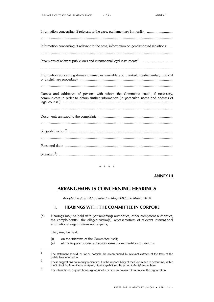| Information concerning, if relevant to the case, parliamentary immunity:                                                                                              |
|-----------------------------------------------------------------------------------------------------------------------------------------------------------------------|
| Information concerning, if relevant to the case, information on gender-based violations:                                                                              |
|                                                                                                                                                                       |
| Information concerning domestic remedies available and invoked: (parliamentary, judicial                                                                              |
| Names and addresses of persons with whom the Committee could, if necessary,<br>communicate in order to obtain further information (in particular, name and address of |
|                                                                                                                                                                       |
|                                                                                                                                                                       |
|                                                                                                                                                                       |
|                                                                                                                                                                       |
|                                                                                                                                                                       |

\* \* \* \*

### **ANNEX III**

# **ARRANGEMENTS CONCERNING HEARINGS**

*Adopted in July 1983, revised in May 2007 and March 2014*

# **I. HEARINGS WITH THE COMMITTEE IN CORPORE**

(a) Hearings may be held with parliamentary authorities, other competent authorities, the complainant(s), the alleged victim(s), representatives of relevant international and national organizations and experts;

They may be held:

- (i) on the initiative of the Committee itself;
- (ii) at the request of any of the above-mentioned entities or persons.

<sup>1</sup> The statement should, as far as possible, be accompanied by relevant extracts of the texts of the public laws referred to.

<sup>&</sup>lt;sup>2</sup> These suggestions are merely indicative. It is the responsibility of the Committee to determine, within the limit of the Inter-Parliamentary Union's capabilities, the action to be taken on them.

<sup>3</sup> For international organizations, signature of a person empowered to represent the organization.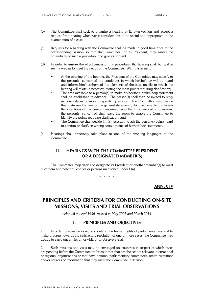- (b) The Committee shall seek to organize a hearing of its own volition and accept a request for a hearing whenever it considers this to be useful and appropriate in the examination of a case.
- (c) Requests for a hearing with the Committee shall be made in good time prior to the corresponding session so that the Committee, or its President, may assess the advisability of such a procedure and give its consent.
- (d) In order to ensure the effectiveness of this procedure, the hearing shall be held in such a way as to meet the needs of the Committee. With this in mind:
	- At the opening of the hearing, the President of the Committee may specify to the person(s) concerned the conditions in which he/she/they will be heard and inform him/her/them of the elements of the case on file to which the hearing will relate, if necessary stating the main points requiring clarification;
	- The time available to a person(s) to make his/her/their preliminary statement shall be established in advance. The person(s) shall then be invited to reply as concisely as possible to specific questions. The Committee may decide that, between the time of the general statement (which will enable it to assess the intentions of the person concerned) and the time devoted to questions, the person(s) concerned shall leave the room to enable the Committee to identify the points requiring clarification; and
	- The Committee shall decide if it is necessary to ask the person(s) being heard to confirm or clarify in writing certain points of his/her/their statements.
- (e) Hearings shall preferably take place in one of the working languages of the Committee.

# **II. HEARINGS WITH THE COMMITTEE PRESIDENT OR A DESIGNATED MEMBER(S)**

The Committee may decide to designate its President or another member(s) to meet *in camera* and hear any entities or persons mentioned under I (a).

\* \* \* \*

**ANNEX IV**

# **PRINCIPLES AND CRITERIA FOR CONDUCTING ON-SITE MISSIONS, VISITS AND TRIAL OBSERVATIONS**

*Adopted in April 1986, revised in May 2007 and March 2014*

## **I. PRINCIPLES AND OBJECTIVES**

1. In order to advance its work to defend the human rights of parliamentarians and to make progress towards the satisfactory resolution of one or more cases, the Committee may decide to carry out a mission or visit, or to observe a trial.

2. Such missions and visits may be envisaged for countries in respect of which cases are pending before the Committee or for countries that are the seat of relevant international or regional organizations or that have national parliamentary committees, other institutions and/or sources of information that may assist the Committee in its work.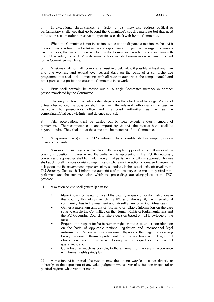3. In exceptional circumstances, a mission or visit may also address political or parliamentary challenges that go beyond the Committee's specific mandate but that need to be addressed in order to resolve the specific cases dealt with by the Committee.

4. When the Committee is not in session, a decision to dispatch a mission, make a visit and/or observe a trial may be taken by correspondence. In particularly urgent or serious circumstances, the decision may be taken by the Committee President in consultation with the IPU Secretary General. Any decision to this effect shall immediately be communicated to the Committee members.

5. Missions shall normally comprise at least two delegates, if possible at least one man and one woman, and extend over several days on the basis of a comprehensive programme that shall include meetings with all relevant authorities, the complainant(s) and other parties in a position to assist the Committee in its work.

6. Visits shall normally be carried out by a single Committee member or another person mandated by the Committee.

7. The length of trial observations shall depend on the schedule of hearings. As part of a trial observation, the observer shall meet with the relevant authorities in the case, in particular the prosecutor's office and the court authorities, as well as the complainant(s)/alleged victim(s) and defence counsel.

8. Trial observations shall be carried out by legal experts and/or members of parliament. Their competence in and impartiality vis-à-vis the case at hand shall be beyond doubt. They shall not at the same time be members of the Committee.

9. A representative(s) of the IPU Secretariat, where possible, shall accompany on-site missions and visits.

10. A mission or visit may only take place with the explicit approval of the authorities of the country in question. In cases where the parliament is represented in the IPU, the necessary contacts and approaches shall be made through that parliament or with its approval. This rule shall apply to all missions or visits except in cases where no interaction is foreseen between the delegation and the government or parliamentary authorities. In the case of a trial observation, the IPU Secretary General shall inform the authorities of the country concerned, in particular the parliament and the authority before which the proceedings are taking place, of the IPU's presence.

11. A mission or visit shall generally aim to:

- Make known to the authorities of the country in question or the institutions in that country the interest which the IPU and, through it, the international community, has in the treatment and fair settlement of an individual case;
- Gather a maximum amount of first-hand or reliable information on the case so as to enable the Committee on the Human Rights of Parliamentarians and the IPU Governing Council to take a decision based on full knowledge of the facts;
- Enquire into respect for basic human rights in the case under consideration on the basis of applicable national legislation and international legal instruments. When a case concerns allegations that legal proceedings brought against a (former) parliamentarian are not founded in law, a trial observation mission may be sent to enquire into respect for basic fair trial guarantees; and
- Contribute, as much as possible, to the settlement of the case in accordance with human rights principles.

12. A mission, visit or trial observation may thus in no way lead, either directly or indirectly, to the expression of any value judgment whatsoever of a situation in general or political regime, whatever their nature.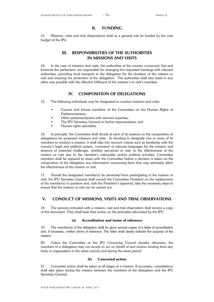### **II. FUNDING**

13. Missions, visits and trial observations shall as a general rule be funded by the core budget of the IPU.

# **III. RESPONSIBILITIES OF THE AUTHORITIES IN MISSIONS AND VISITS**

14. In the case of missions and visits, the authorities of the country concerned, first and foremost the parliament, are responsible for arranging the requested meetings with relevant authorities, providing local transport to the delegation for the duration of the mission or visit and ensuring the protection of the delegation. The authorities shall also assist in any other way possible with the effective fulfilment of the mission's or visit's mandate.

## **IV. COMPOSITION OF DELEGATIONS**

15. The following individuals may be designated to conduct missions and visits:

- Current and former members of the Committee on the Human Rights of Parliamentarians;
- Other parliamentarians with relevant expertise;
- The IPU Secretary General or his/her representative; and
- Human rights specialists.

16. In principle, the Committee shall decide at each of its sessions on the composition of delegations for proposed missions and visits. In deciding to designate one or more of its members to conduct a mission, it shall take into account criteria such as familiarity with the country's legal and political system, command of relevant languages for the mission and absence of potential challenges, whether perceived or real, to the effectiveness of the mission or visit due to the member's nationality and/or political activities. Committee members shall be required to share with the Committee before a decision is taken on the composition of the delegation any information concerning them that may adversely affect the effectiveness of the mission or visit.

17. Should the designated member(s) be prevented from participating in the mission or visit, the IPU Secretary General shall consult the Committee President on the replacement of the member(s) in question and, with the President's approval, take the necessary steps to ensure that the mission or visit can be carried out.

### **V. CONDUCT OF MISSIONS, VISITS AND TRIAL OBSERVATIONS**

18. The persons entrusted with a mission, visit and trial observation shall receive a copy of this document. They shall base their action on the principles advocated by the IPU.

#### **(a) Accreditation and terms of reference**

19. The member(s) of the delegation shall be given several copies of a letter of accreditation and, if necessary, written terms of reference. The latter shall clearly indicate the purpose of the mission.

20. Unless the Committee or the IPU Governing Council decides otherwise, the members of a delegation may not accept to act on behalf of and receive funding from any body or organization in the same country and during the same period.

#### **(b) Concerted action**

21. Concerted action shall be taken at all stages of a mission. If necessary, consultations shall take place during the mission between the members of the delegation and the IPU Secretary General.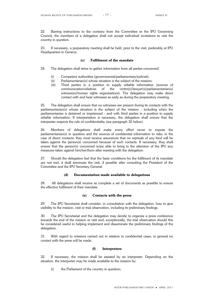22. Barring instructions to the contrary from the Committee or the IPU Governing Council, the members of a delegation shall not accept individual invitations to visit the country in question.

23. If necessary, a preparatory meeting shall be held, prior to the visit, preferably at IPU Headquarters in Geneva.

### **(c) Fulfilment of the mandate**

- 24. The delegation shall strive to gather information from all parties concerned:
	- (i) Competent authorities (governmental/parliamentary/judicial);
	- (ii) Parliamentarian(s) whose situation is the subject of the mission;
	- (iii) Third parties in a position to supply reliable information (sources of communication/relatives of the victim(s)/lawyer(s)/parliamentarian(s) communication/relatives of the victim(s)/lawyer(s)/parliamentarian(s) witness(es)/human rights organizations). The delegation may make direct contact with and hear witnesses as early as during the preparatory meeting.

25. The delegation shall ensure that no witnesses are present during its contacts with the parliamentarian(s) whose situation is the subject of the mission - including when the parliamentarian is detained or imprisoned - and with third parties in a position to supply reliable information. If interpretation is necessary, the delegation shall ensure that the interpreter respects the rule of confidentiality (see paragraph 32 below).

26. Members of delegations shall make every effort never to expose the parliamentarian(s) in question and the sources of confidential information to risks; in the case of direct contacts, they must receive assurances that no reprisals of any kind will be taken against the person(s) concerned because of such contacts. If necessary, they shall ensure that the person(s) concerned is/are able to bring to the attention of the IPU any measures taken against him/her/them after meeting with the delegation.

27. Should the delegation feel that the basic conditions for the fulfilment of its mandate are not met, it shall terminate the visit, if possible after consulting the President of the Committee and the IPU Secretary General.

#### **(d) Documentation made available to delegations**

28. All delegations shall receive as complete a set of documents as possible to ensure the effective fulfilment of their mandate.

#### **(e) Contacts with the press**

29. The IPU Secretariat shall consider, in consultation with the delegation, how to give visibility to the mission, visit or trial observation, including its preliminary findings.

30. The IPU Secretariat and the delegation may decide to organize a press conference towards the end of the mission or visit and, exceptionally, the trial observation should this be considered useful in helping implement and disseminate the preliminary findings of the delegation.

31. With regard to missions carried out in relation to confidential cases, in general no contact with the press will be made.

#### **(f) Interpreters**

32. If necessary, the mission shall be assisted by an interpreter. Depending on the situation, the interpreter may be made available to the mission by:

(i) the Parliament of the country in question;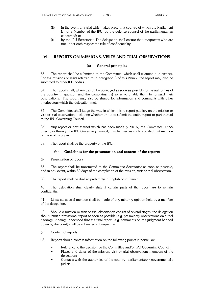- (ii) in the event of a trial which takes place in a country of which the Parliament is not a Member of the IPU, by the defence counsel of the parliamentarian concerned; or
- (iii) by the IPU Secretariat. The delegation shall ensure that interpreters who are not under oath respect the rule of confidentiality.

### **VI. REPORTS ON MISSIONS, VISITS AND TRIAL OBSERVATIONS**

#### **(a) General principles**

33. The report shall be submitted to the Committee, which shall examine it *in camera*. For the missions or visits referred to in paragraph 3 of this Annex, the report may also be submitted to other IPU bodies.

34. The report shall, where useful, be conveyed as soon as possible to the authorities of the country in question and the complainant(s) so as to enable them to forward their observations. The report may also be shared for information and comments with other interlocutors which the delegation met.

35. The Committee shall judge the way in which it is to report publicly on the mission or visit or trial observation, including whether or not to submit the entire report or part thereof to the IPU Governing Council.

36. Any report or part thereof which has been made public by the Committee, either directly or through the IPU Governing Council, may be used as such provided that mention is made of its origin.

37. The report shall be the property of the IPU.

#### **(b) Guidelines for the presentation and content of the reports**

#### (i) Presentation of reports

38. The report shall be transmitted to the Committee Secretariat as soon as possible, and in any event, within 30 days of the completion of the mission, visit or trial observation.

39. The report shall be drafted preferably in English or in French.

40. The delegation shall clearly state if certain parts of the report are to remain confidential.

41. Likewise, special mention shall be made of any minority opinion held by a member of the delegation.

42. Should a mission or visit or trial observation consist of several stages, the delegation shall submit a provisional report as soon as possible (e.g. preliminary observations on a trial hearing), it being understood that the final report (e.g. comments on the judgment handed down by the court) shall be submitted subsequently.

#### (ii) Content of reports

43. Reports should contain information on the following points in particular:

- Reference to the decision by the Committee and/or IPU Governing Council;
- Places and dates of the mission, visit or trial observation; members of the delegation;
- Contacts with the authorities of the country (parliamentary / governmental / judicial);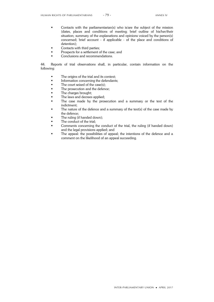- Contacts with the parliamentarian(s) who is/are the subject of the mission (dates, places and conditions of meeting; brief outline of his/her/their situation; summary of the explanations and opinions voiced by the person(s) concerned; brief account - if applicable - of the place and conditions of detention);
- Contacts with third parties;
- Prospects for a settlement of the case; and
- Conclusions and recommendations.

44. Reports of trial observations shall, in particular, contain information on the following:

- The origins of the trial and its context;<br>• Information concerning the defendants
- Information concerning the defendants;
- The court seized of the case(s);<br>• The prosecution and the defend
- The prosecution and the defence;<br>• The charges brought:
- The charges brought;<br>• The laws and decrees
- $\bullet$  The laws and decrees applied;<br> $\bullet$  The case made by the pros
- The case made by the prosecution and a summary or the text of the indictment;
- The nature of the defence and a summary of the text(s) of the case made by the defence;
- The ruling (if handed down);
- The conduct of the trial;
- Comments concerning the conduct of the trial, the ruling (if handed down) and the legal provisions applied; and
- The appeal: the possibilities of appeal; the intentions of the defence and a comment on the likelihood of an appeal succeeding.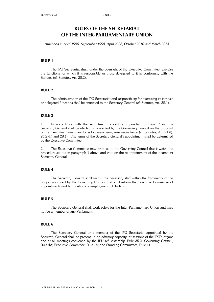*Amended in April 1996, September 1998, April 2003, October 2010 and March 2013*

### **RULE 1**

The IPU Secretariat shall, under the oversight of the Executive Committee, exercise the functions for which it is responsible or those delegated to it in conformity with the Statutes (cf. Statutes, Art. 28.2).

### **RULE 2**

The administration of the IPU Secretariat and responsibility for exercising its intrinsic or delegated functions shall be entrusted to the Secretary General (cf. Statutes, Art. 28.1).

### **RULE 3**

1. In accordance with the recruitment procedure appended to these Rules, the Secretary General shall be elected or re-elected by the Governing Council on the proposal of the Executive Committee for a four-year term, renewable twice (cf. Statutes, Art. 21 (l), 26.2 (h) and 28.1). The terms of the Secretary General's appointment shall be determined by the Executive Committee.

2. The Executive Committee may propose to the Governing Council that it waive the procedure set out in paragraph 1 above and vote on the re-appointment of the incumbent Secretary General.

### **RULE 4**

The Secretary General shall recruit the necessary staff within the framework of the budget approved by the Governing Council and shall inform the Executive Committee of appointments and terminations of employment (cf. Rule 2).

### **RULE 5**

The Secretary General shall work solely for the Inter-Parliamentary Union and may not be a member of any Parliament.

### **RULE 6**

The Secretary General or a member of the IPU Secretariat appointed by the Secretary General shall be present, in an advisory capacity, at sessions of the IPU's organs and at all meetings convened by the IPU (cf. Assembly, Rule 35.2; Governing Council, Rule 42; Executive Committee, Rule 14; and Standing Committees, Rule 41).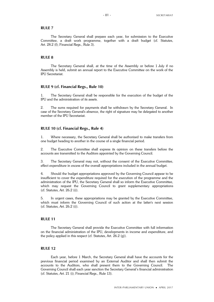#### **RULE 7**

The Secretary General shall prepare each year, for submission to the Executive Committee, a draft work programme, together with a draft budget (cf. Statutes, Art. 28.2 (f); Financial Regs., Rule 3).

#### **RULE 8**

The Secretary General shall, at the time of the Assembly or before 1 July if no Assembly is held, submit an annual report to the Executive Committee on the work of the IPU Secretariat.

#### **RULE 9 (cf. Financial Regs., Rule 10)**

1. The Secretary General shall be responsible for the execution of the budget of the IPU and the administration of its assets.

2. The sums required for payments shall be withdrawn by the Secretary General. In case of the Secretary General's absence, the right of signature may be delegated to another member of the IPU Secretariat.

### **RULE 10 (cf. Financial Regs., Rule 4)**

1. Where necessary, the Secretary General shall be authorized to make transfers from one budget heading to another in the course of a single financial period.

2. The Executive Committee shall express its opinion on these transfers before the accounts are transmitted to the Auditors appointed by the Governing Council.

3. The Secretary General may not, without the consent of the Executive Committee, effect expenditure in excess of the overall appropriations included in the annual budget.

4. Should the budget appropriations approved by the Governing Council appear to be insufficient to cover the expenditure required for the execution of the programme and the administration of the IPU, the Secretary General shall so inform the Executive Committee, which may request the Governing Council to grant supplementary appropriations (cf. Statutes, Art. 26.2 (i)).

5. In urgent cases, these appropriations may be granted by the Executive Committee, which must inform the Governing Council of such action at the latter's next session (cf. Statutes, Art. 26.2 (i)).

### **RULE 11**

The Secretary General shall provide the Executive Committee with full information on the financial administration of the IPU, developments in income and expenditure, and the policy applied in this respect (cf. Statutes, Art. 26.2 (g)).

#### **RULE 12**

Each year, before 1 March, the Secretary General shall have the accounts for the previous financial period examined by an External Auditor and shall then submit the accounts to the Auditors, who shall present them to the Governing Council. The Governing Council shall each year sanction the Secretary General's financial administration (cf. Statutes, Art. 21 (i); Financial Regs., Rule 13).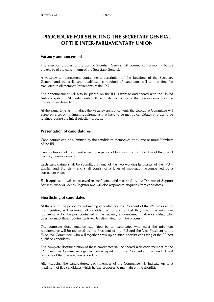# **PROCEDURE FOR SELECTING THE SECRETARY GENERAL OF THE INTER-PARLIAMENTARY UNION**

#### **Vacancy announcement**

The selection process for the post of Secretary General will commence 15 months before the expiry of the current term of the Secretary General.

A vacancy announcement containing a description of the functions of the Secretary General and the skills and qualifications required of candidates will at that time be circulated to all Member Parliaments of the IPU.

The announcement will also be placed on the IPU's website and shared with the United Nations system. All parliaments will be invited to publicize the announcement in the manner they deem fit.

At the same time as it finalizes the vacancy announcement, the Executive Committee will agree on a set of minimum requirements that have to be met by candidates in order to be retained during the initial selection process.

### **Presentation of candidatures**

Candidatures can be submitted by the candidates themselves or by one or more Members of the IPU.

Candidatures shall be submitted within a period of four months from the date of the official vacancy announcement.

Each candidature shall be submitted in one of the two working languages of the IPU – English and French – and shall consist of a letter of motivation accompanied by a curriculum vitae.

Each application will be received in confidence and recorded by the Director of Support Services, who will act as Registrar and will also respond to enquiries from candidates.

### **Shortlisting of candidates**

At the end of the period for submitting candidatures, the President of the IPU, assisted by the Registrar, will examine all candidatures to ensure that they meet the minimum requirements for the post contained in the vacancy announcement. Any candidate who does not meet these requirements will be eliminated from the process.

The complete documentation submitted by all candidates who meet the minimum requirements will be reviewed by the President of the IPU and the Vice-President of the Executive Committee, who will together draw up an initial shortlist consisting of the 20 best qualified candidates.

The complete documentation of these candidates will be shared with each member of the IPU Executive Committee together with a report from the President on the conduct and outcome of the pre-selection procedure.

After studying the candidatures, each member of the Committee will indicate up to a maximum of five candidates which he/she proposes to maintain on the shortlist.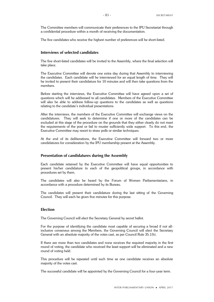The Committee members will communicate their preferences to the IPU Secretariat through a confidential procedure within a month of receiving the documentation.

The five candidates who receive the highest number of preferences will be short-listed.

### **Interviews of selected candidates**

The five short-listed candidates will be invited to the Assembly, where the final selection will take place.

The Executive Committee will devote one extra day during that Assembly to interviewing the candidates. Each candidate will be interviewed for an equal length of time. They will be invited to present their candidature for 10 minutes and will then take questions from the members.

Before starting the interviews, the Executive Committee will have agreed upon a set of questions which will be addressed to all candidates. Members of the Executive Committee will also be able to address follow-up questions to the candidates as well as questions relating to the candidate's individual presentations.

After the interviews, the members of the Executive Committee will exchange views on the candidatures. They will seek to determine if one or more of the candidates can be excluded at this stage of the procedure on the grounds that they either clearly do not meet the requirements of the post or fail to muster sufficiently wide support. To this end, the Executive Committee may resort to straw polls or similar techniques.

At the end of its deliberations, the Executive Committee will forward two or more candidatures for consideration by the IPU membership present at the Assembly.

#### **Presentation of candidatures during the Assembly**

Each candidate retained by the Executive Committee will have equal opportunities to present his/her candidature to each of the geopolitical groups, in accordance with procedures set by them.

The candidates will also be heard by the Forum of Women Parliamentarians, in accordance with a procedure determined by its Bureau.

The candidates will present their candidature during the last sitting of the Governing Council. They will each be given five minutes for this purpose.

#### **Election**

The Governing Council will elect the Secretary General by secret ballot.

For the purpose of identifying the candidate most capable of securing a broad if not allinclusive consensus among the Members, the Governing Council will elect the Secretary General with an absolute majority of the votes cast, as per Council Rule 35.1(b).

If there are more than two candidates and none receives the required majority in the first round of voting, the candidate who received the least support will be eliminated and a new round of voting held.

This procedure will be repeated until such time as one candidate receives an absolute majority of the votes cast.

The successful candidate will be appointed by the Governing Council for a four-year term.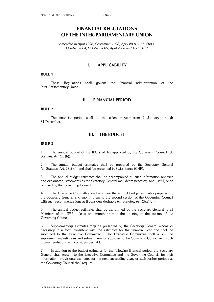# **FINANCIAL REGULATIONS OF THE INTER-PARLIAMENTARY UNION**

*Amended in April 1996, September 1998, April 2001, April 2003, October 2004, October 2005, April 2008 and April 2017*

### **I. APPLICABILITY**

#### **RULE 1**

These Regulations shall govern the financial administration of the Inter-Parliamentary Union.

### **II. FINANCIAL PERIOD**

#### **RULE 2**

The financial period shall be the calendar year from 1 January through 31 December.

#### **III. THE BUDGET**

#### **RULE 3**

1. The annual budget of the IPU shall be approved by the Governing Council (cf. Statutes, Art. 21 (h)).

2. The annual budget estimates shall be prepared by the Secretary General (cf. Statutes, Art. 28.2 (f)) and shall be presented in Swiss francs (CHF).

3. The annual budget estimates shall be accompanied by such information annexes and explanatory statements as the Secretary General may deem necessary and useful, or as required by the Governing Council.

4. The Executive Committee shall examine the annual budget estimates prepared by the Secretary General and submit them to the second session of the Governing Council with such recommendations as it considers desirable (cf. Statutes, Art. 26.2 (e)).

5. The annual budget estimates shall be transmitted by the Secretary General to all Members of the IPU at least one month prior to the opening of the session of the Governing Council.

6. Supplementary estimates may be presented by the Secretary General whenever necessary in a form consistent with the estimates for the financial year and shall be submitted to the Executive Committee. The Executive Committee shall review the supplementary estimates and submit them for approval to the Governing Council with such recommendations as it considers desirable.

7. In addition to the budget estimates for the following financial period, the Secretary General shall present to the Executive Committee and the Governing Council, for their information, provisional estimates for the next succeeding year, or such further periods as the Governing Council shall require.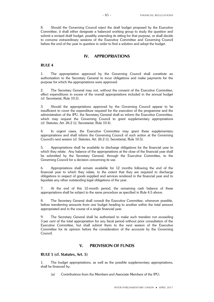8. Should the Governing Council reject the draft budget proposed by the Executive Committee, it shall either designate a balanced working group to study the question and submit a revised draft budget, possibly extending its sitting for that purpose, or shall decide to convene extraordinary sessions of the Executive Committee and Governing Council before the end of the year in question in order to find a solution and adopt the budget.

### **IV. APPROPRIATIONS**

### **RULE 4**

1. The appropriation approved by the Governing Council shall constitute an authorization to the Secretary General to incur obligations and make payments for the purpose for which the appropriations were approved.

2. The Secretary General may not, without the consent of the Executive Committee, effect expenditures in excess of the overall appropriations included in the annual budget (cf. Secretariat, Rule 10.3).

3. Should the appropriations approved by the Governing Council appear to be insufficient to cover the expenditure required for the execution of the programme and the administration of the IPU, the Secretary General shall so inform the Executive Committee, which may request the Governing Council to grant supplementary appropriations (cf. Statutes, Art. 26.2 (i); Secretariat, Rule 10.4).

4. In urgent cases, the Executive Committee may grant these supplementary appropriations and shall inform the Governing Council of such action at the Governing Council's next session (cf. Statutes, Art. 26.2 (i); Secretariat, Rule 10.5).

5. Appropriations shall be available to discharge obligations for the financial year to which they relate. Any balance of the appropriations at the close of the financial year shall be submitted by the Secretary General, through the Executive Committee, to the Governing Council for a decision concerning its use.

6. Appropriations shall remain available for 12 months following the end of the financial year to which they relate, to the extent that they are required to discharge obligations in respect of goods supplied and services rendered in the financial year and to liquidate any other outstanding legal obligations of the year.

7. At the end of this 12-month period, the remaining cash balance of these appropriations shall be subject to the same procedure as specified in Rule 4.5 above.

8. The Secretary General shall consult the Executive Committee, whenever possible, before transferring amounts from one budget heading to another within the total amount appropriated and in the course of a single financial year.

9. The Secretary General shall be authorized to make such transfers not exceeding 3 per cent of the total appropriation for any fiscal period without prior consultation of the Executive Committee, but shall submit them to the next session of the Executive Committee for its opinion before the consideration of the accounts by the Governing Council.

### **V. PROVISION OF FUNDS**

### **RULE 5 (cf. Statutes, Art. 5)**

1. The budget appropriations, as well as the possible supplementary appropriations, shall be financed by:

(a) Contributions from the Members and Associate Members of the IPU;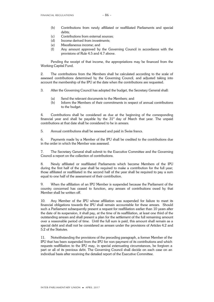- (b) Contributions from newly affiliated or reaffiliated Parliaments and special debts;
- (c) Contributions from external sources;
- (d) Income derived from investments;
- (e) Miscellaneous income; and
- (f) Any amount approved by the Governing Council in accordance with the provisions of Rule 4.5 and 4.7 above.

Pending the receipt of that income, the appropriations may be financed from the Working Capital Fund.

2. The contributions from the Members shall be calculated according to the scale of assessed contributions determined by the Governing Council, and adjusted taking into account the membership of the IPU at the date when the contributions are requested.

- 3. After the Governing Council has adopted the budget, the Secretary General shall:
	- (a) Send the relevant documents to the Members; and
	- (b) Inform the Members of their commitments in respect of annual contributions to the budget.

4. Contributions shall be considered as due at the beginning of the corresponding financial year and shall be payable by the  $31<sup>st</sup>$  day of March that year. The unpaid contributions at that date shall be considered to be in arrears.

5. Annual contributions shall be assessed and paid in Swiss francs.

6. Payments made by a Member of the IPU shall be credited to the contributions due in the order in which the Member was assessed.

7. The Secretary General shall submit to the Executive Committee and the Governing Council a report on the collection of contributions.

8. Newly affiliated or reaffiliated Parliaments which become Members of the IPU during the first half of the year shall be required to make a contribution for the full year; those affiliated or reaffiliated in the second half of the year shall be required to pay a sum equal to one half of the assessment of their contribution.

9. When the affiliation of an IPU Member is suspended because the Parliament of the country concerned has ceased to function, any arrears of contributions owed by that Member shall be written off.

10. Any Member of the IPU whose affiliation was suspended for failure to meet its financial obligations towards the IPU shall remain accountable for these arrears. Should such a Parliament subsequently present a request for reaffiliation earlier than 10 years after the date of its suspension, it shall pay, at the time of its reaffiliation, at least one third of the outstanding arrears and shall present a plan for the settlement of the full remaining amount over a reasonable period of time. Until the full sum is paid, this amount shall remain as a special debt and shall not be considered as arrears under the provisions of Articles 4.2 and 5.2 of the Statutes.

11. Notwithstanding the provisions of the preceding paragraph, a former Member of the IPU that has been suspended from the IPU for non-payment of its contributions and which requests reaffiliation to the IPU may, in special extenuating circumstances, be forgiven a part or all of its previous debt. The Governing Council shall decide on each case on an individual basis after receiving the detailed report of the Executive Committee.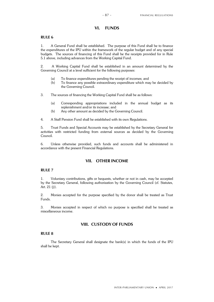# **VI. FUNDS**

### **RULE 6**

1. A General Fund shall be established. The purpose of this Fund shall be to finance the expenditures of the IPU within the framework of the regular budget and of any special budgets. The sources of financing of this Fund shall be the receipts provided for in Rule 5.1 above, including advances from the Working Capital Fund.

2. A Working Capital Fund shall be established in an amount determined by the Governing Council at a level sufficient for the following purposes:

- (a) To finance expenditures pending the receipt of incomes; and
- (b) To finance any possible extraordinary expenditure which may be decided by the Governing Council.
- 3. The sources of financing the Working Capital Fund shall be as follows:
	- (a) Corresponding appropriations included in the annual budget as its replenishment and/or its increase; and
	- (b) Any other amount as decided by the Governing Council.

4. A Staff Pension Fund shall be established with its own Regulations.

5. Trust Funds and Special Accounts may be established by the Secretary General for activities with restricted funding from external sources as decided by the Governing Council.

6. Unless otherwise provided, such funds and accounts shall be administered in accordance with the present Financial Regulations.

### **VII. OTHER INCOME**

#### **RULE 7**

1. Voluntary contributions, gifts or bequests, whether or not in cash, may be accepted by the Secretary General, following authorization by the Governing Council (cf. Statutes, Art. 21 (j)).

2. Monies accepted for the purpose specified by the donor shall be treated as Trust Funds.

3. Monies accepted in respect of which no purpose is specified shall be treated as miscellaneous income.

### **VIII. CUSTODY OF FUNDS**

### **RULE 8**

The Secretary General shall designate the bank(s) in which the funds of the IPU shall be kept.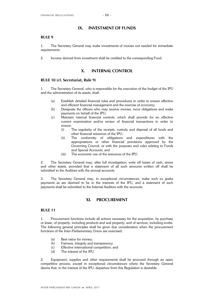### **IX. INVESTMENT OF FUNDS**

### **RULE 9**

1. The Secretary General may make investments of monies not needed for immediate requirements.

2. Income derived from investment shall be credited to the corresponding Fund.

### **X. INTERNAL CONTROL**

### **RULE 10 (cf. Secretariat, Rule 9)**

1. The Secretary General, who is responsible for the execution of the budget of the IPU and the administration of its assets, shall:

- (a) Establish detailed financial rules and procedures in order to ensure effective and efficient financial management and the exercise of economy;
- (b) Designate the officers who may receive monies, incur obligations and make payments on behalf of the IPU;
- (c) Maintain internal financial controls, which shall provide for an effective current examination and/or review of financial transactions in order to ensure:
	- (i) The regularity of the receipts, custody and disposal of all funds and other financial resources of the IPU;
	- (ii) The conformity of obligations and expenditures with the appropriations or other financial provisions approved by the Governing Council, or with the purposes and rules relating to Funds and Special Accounts; and
	- (iii) The economic use of the resources of the IPU.

2. The Secretary General may, after full investigation, write off losses of cash, stores and other assets, provided that a statement of all such amounts written off shall be submitted to the Auditors with the annual accounts.

3. The Secretary General may, in exceptional circumstances, make such ex gratia payments as are deemed to be in the interests of the IPU, and a statement of such payments shall be submitted to the Internal Auditors with the accounts.

# **XI. PROCUREMENT**

### **RULE 11**

1. Procurement functions include all actions necessary for the acquisition, by purchase or lease, of property, including products and real property, and of services, including works. The following general principles shall be given due consideration when the procurement functions of the Inter-Parliamentary Union are exercised:

- (a) Best value for money;
- (b) Fairness, integrity and transparency;
- (c) Effective international competition; and
- (d) The interest of the IPU.

2. Equipment, supplies and other requirements shall be procured through an open competitive process, except in exceptional circumstances where the Secretary General deems that, in the interest of the IPU, departure from this Regulation is desirable.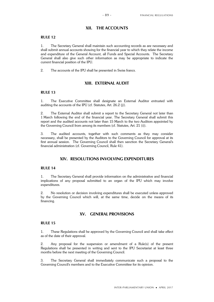### **XII. THE ACCOUNTS**

### **RULE 12**

1. The Secretary General shall maintain such accounting records as are necessary and shall submit annual accounts showing for the financial year to which they relate the income and expenditure of the General Account, all Funds and Special Accounts. The Secretary General shall also give such other information as may be appropriate to indicate the current financial position of the IPU.

2. The accounts of the IPU shall be presented in Swiss francs.

### **XIII. EXTERNAL AUDIT**

### **RULE 13**

1. The Executive Committee shall designate an External Auditor entrusted with auditing the accounts of the IPU (cf. Statutes, Art. 26.2 (j)).

2. The External Auditor shall submit a report to the Secretary General not later than 1 March following the end of the financial year. The Secretary General shall submit this report and the audited accounts not later than 15 March to the two Auditors appointed by the Governing Council from among its members (cf. Statutes, Art. 21 (i)).

3. The audited accounts, together with such comments as they may consider necessary, shall be presented by the Auditors to the Governing Council for approval at its first annual session. The Governing Council shall then sanction the Secretary General's financial administration (cf. Governing Council, Rule 41).

# **XIV. RESOLUTIONS INVOLVING EXPENDITURES**

#### **RULE 14**

1. The Secretary General shall provide information on the administrative and financial implications of any proposal submitted to an organ of the IPU which may involve expenditures.

2. No resolution or decision involving expenditures shall be executed unless approved by the Governing Council which will, at the same time, decide on the means of its financing.

## **XV. GENERAL PROVISIONS**

#### **RULE 15**

1. These Regulations shall be approved by the Governing Council and shall take effect as of the date of their approval.

2. Any proposal for the suspension or amendment of a Rule(s) of the present Regulations shall be presented in writing and sent to the IPU Secretariat at least three months before the next meeting of the Governing Council.

3. The Secretary General shall immediately communicate such a proposal to the Governing Council's members and to the Executive Committee for its opinion.